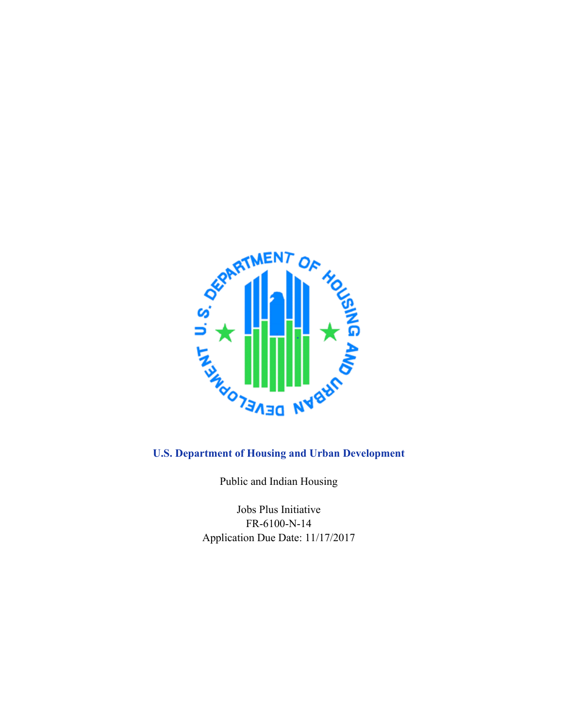

# **U.S. Department of Housing and Urban Development**

Public and Indian Housing

Jobs Plus Initiative FR-6100-N-14 Application Due Date: 11/17/2017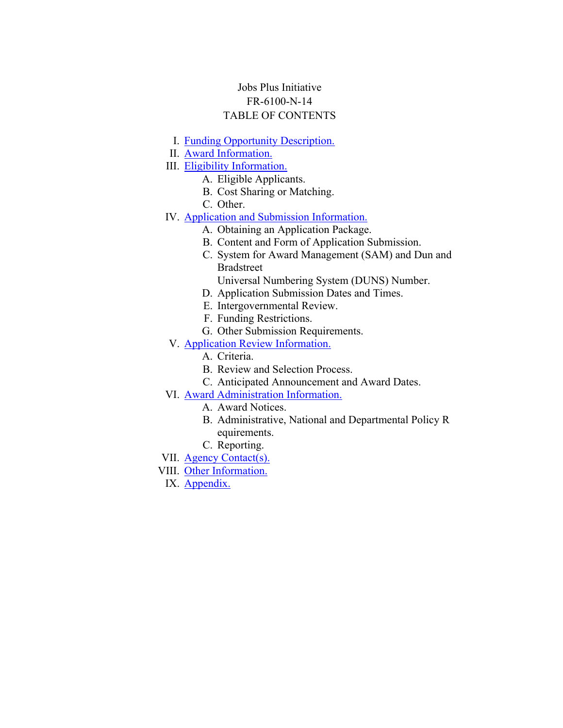## Jobs Plus Initiative FR-6100-N-14 TABLE OF CONTENTS

- I. Funding Opportunity [Description.](#page-2-0)
- II. Award [Information.](#page-11-0)
- III. Eligibility [Information.](#page-12-0)
	- A. Eligible Applicants.
		- B. Cost Sharing or Matching.
		- C. Other.
- IV. Application and Submission [Information.](#page-23-0)
	- A. Obtaining an Application Package.
	- B. Content and Form of Application Submission.
	- C. System for Award Management (SAM) and Dun and Bradstreet
		- Universal Numbering System (DUNS) Number.
	- D. Application Submission Dates and Times.
	- E. Intergovernmental Review.
	- F. Funding Restrictions.
	- G. Other Submission Requirements.
- V. Application Review [Information.](#page-33-0)
	- A. Criteria.
	- B. Review and Selection Process.
	- C. Anticipated Announcement and Award Dates.
- VI. Award [Administration](#page-42-0) Information.
	- A. Award Notices.
	- B. Administrative, National and Departmental Policy R equirements.
	- C. Reporting.
- VII. Agency [Contact\(s\).](#page-44-0)
- VIII. Other [Information.](#page-44-1)
- IX. [Appendix.](#page-45-0)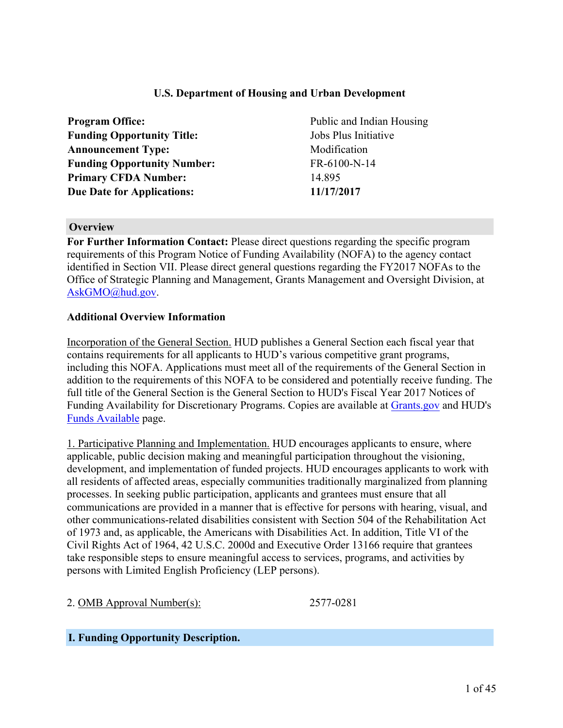## **U.S. Department of Housing and Urban Development**

| <b>Program Office:</b>             | Public  |
|------------------------------------|---------|
| <b>Funding Opportunity Title:</b>  | Jobs Pl |
| <b>Announcement Type:</b>          | Modifi  |
| <b>Funding Opportunity Number:</b> | FR-61   |
| <b>Primary CFDA Number:</b>        | 14.895  |
| <b>Due Date for Applications:</b>  | 11/17/2 |

Public and Indian Housing **Jobs Plus Initiative Modification Funding Opportunity Number:** FR-6100-N-14 **Due Date for Applications: 11/17/2017**

#### **Overview**

**For Further Information Contact:** Please direct questions regarding the specific program requirements of this Program Notice of Funding Availability (NOFA) to the agency contact identified in Section VII. Please direct general questions regarding the FY2017 NOFAs to the Office of Strategic Planning and Management, Grants Management and Oversight Division, at [AskGMO@hud.gov](mailto:AskGMO@hud.gov).

#### **Additional Overview Information**

Incorporation of the General Section. HUD publishes a General Section each fiscal year that contains requirements for all applicants to HUD's various competitive grant programs, including this NOFA. Applications must meet all of the requirements of the General Section in addition to the requirements of this NOFA to be considered and potentially receive funding. The full title of the General Section is the General Section to HUD's Fiscal Year 2017 Notices of Funding Availability for Discretionary Programs. Copies are available at [Grants.gov](https://www.grants.gov) and HUD's Funds [Available](https://portal.hud.gov/hudportal/HUD?src=/program_offices/administration/grants/fundsavail) page.

1. Participative Planning and Implementation. HUD encourages applicants to ensure, where applicable, public decision making and meaningful participation throughout the visioning, development, and implementation of funded projects. HUD encourages applicants to work with all residents of affected areas, especially communities traditionally marginalized from planning processes. In seeking public participation, applicants and grantees must ensure that all communications are provided in a manner that is effective for persons with hearing, visual, and other communications-related disabilities consistent with Section 504 of the Rehabilitation Act of 1973 and, as applicable, the Americans with Disabilities Act. In addition, Title VI of the Civil Rights Act of 1964, 42 U.S.C. 2000d and Executive Order 13166 require that grantees take responsible steps to ensure meaningful access to services, programs, and activities by persons with Limited English Proficiency (LEP persons).

2. OMB Approval Number(s): 2577-0281

#### <span id="page-2-0"></span>**I. Funding Opportunity Description.**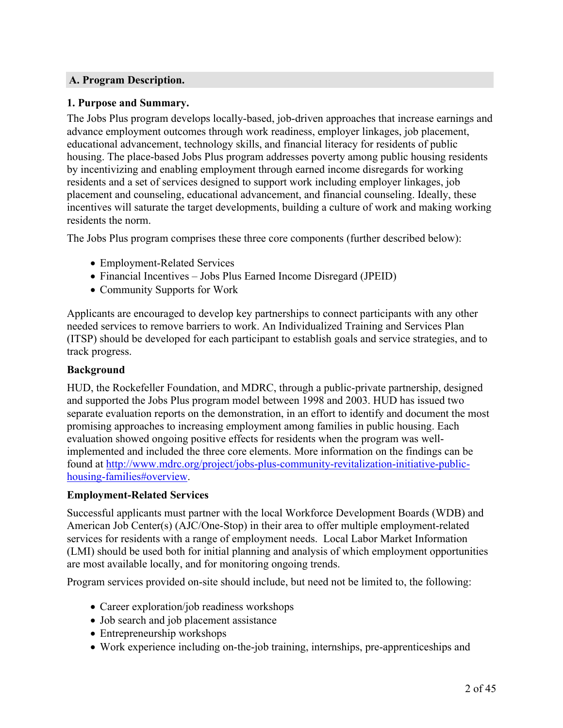## **A. Program Description.**

#### **1. Purpose and Summary.**

The Jobs Plus program develops locally-based, job-driven approaches that increase earnings and advance employment outcomes through work readiness, employer linkages, job placement, educational advancement, technology skills, and financial literacy for residents of public housing. The place-based Jobs Plus program addresses poverty among public housing residents by incentivizing and enabling employment through earned income disregards for working residents and a set of services designed to support work including employer linkages, job placement and counseling, educational advancement, and financial counseling. Ideally, these incentives will saturate the target developments, building a culture of work and making working residents the norm.

The Jobs Plus program comprises these three core components (further described below):

- Employment-Related Services
- Financial Incentives Jobs Plus Earned Income Disregard (JPEID)
- Community Supports for Work

Applicants are encouraged to develop key partnerships to connect participants with any other needed services to remove barriers to work. An Individualized Training and Services Plan (ITSP) should be developed for each participant to establish goals and service strategies, and to track progress.

## **Background**

HUD, the Rockefeller Foundation, and MDRC, through a public-private partnership, designed and supported the Jobs Plus program model between 1998 and 2003. HUD has issued two separate evaluation reports on the demonstration, in an effort to identify and document the most promising approaches to increasing employment among families in public housing. Each evaluation showed ongoing positive effects for residents when the program was wellimplemented and included the three core elements. More information on the findings can be found at [http://www.mdrc.org/project/jobs-plus-community-revitalization-initiative-public](http://www.mdrc.org/project/jobs-plus-community-revitalization-initiative-public-housing-families#overview)[housing-families#overview](http://www.mdrc.org/project/jobs-plus-community-revitalization-initiative-public-housing-families#overview).

#### **Employment-Related Services**

Successful applicants must partner with the local Workforce Development Boards (WDB) and American Job Center(s) (AJC/One-Stop) in their area to offer multiple employment-related services for residents with a range of employment needs. Local Labor Market Information (LMI) should be used both for initial planning and analysis of which employment opportunities are most available locally, and for monitoring ongoing trends.

Program services provided on-site should include, but need not be limited to, the following:

- Career exploration/job readiness workshops
- Job search and job placement assistance
- Entrepreneurship workshops
- Work experience including on-the-job training, internships, pre-apprenticeships and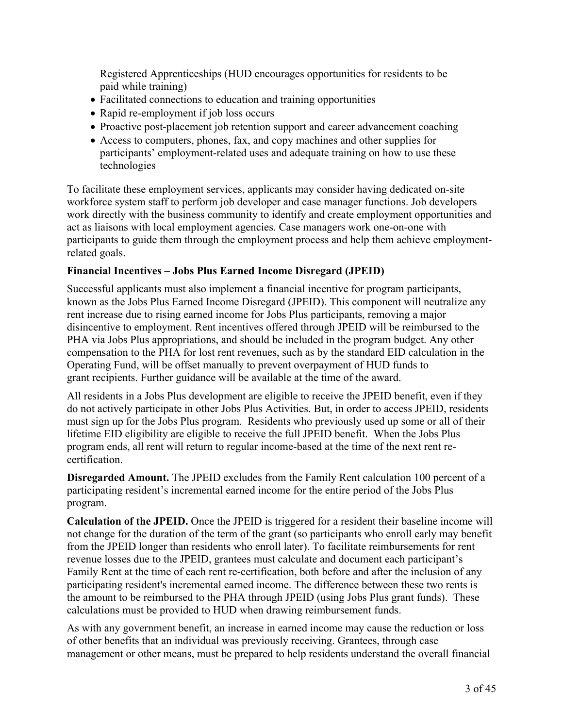Registered Apprenticeships (HUD encourages opportunities for residents to be paid while training)

- Facilitated connections to education and training opportunities
- Rapid re-employment if job loss occurs
- Proactive post-placement job retention support and career advancement coaching
- Access to computers, phones, fax, and copy machines and other supplies for participants' employment-related uses and adequate training on how to use these technologies

To facilitate these employment services, applicants may consider having dedicated on-site workforce system staff to perform job developer and case manager functions. Job developers work directly with the business community to identify and create employment opportunities and act as liaisons with local employment agencies. Case managers work one-on-one with participants to guide them through the employment process and help them achieve employmentrelated goals.

## **Financial Incentives – Jobs Plus Earned Income Disregard (JPEID)**

Successful applicants must also implement a financial incentive for program participants, known as the Jobs Plus Earned Income Disregard (JPEID). This component will neutralize any rent increase due to rising earned income for Jobs Plus participants, removing a major disincentive to employment. Rent incentives offered through JPEID will be reimbursed to the PHA via Jobs Plus appropriations, and should be included in the program budget. Any other compensation to the PHA for lost rent revenues, such as by the standard EID calculation in the Operating Fund, will be offset manually to prevent overpayment of HUD funds to grant recipients. Further guidance will be available at the time of the award.

All residents in a Jobs Plus development are eligible to receive the JPEID benefit, even if they do not actively participate in other Jobs Plus Activities. But, in order to access JPEID, residents must sign up for the Jobs Plus program. Residents who previously used up some or all of their lifetime EID eligibility are eligible to receive the full JPEID benefit. When the Jobs Plus program ends, all rent will return to regular income-based at the time of the next rent recertification.

**Disregarded Amount.** The JPEID excludes from the Family Rent calculation 100 percent of a participating resident's incremental earned income for the entire period of the Jobs Plus program.

**Calculation of the JPEID.** Once the JPEID is triggered for a resident their baseline income will not change for the duration of the term of the grant (so participants who enroll early may benefit from the JPEID longer than residents who enroll later). To facilitate reimbursements for rent revenue losses due to the JPEID, grantees must calculate and document each participant's Family Rent at the time of each rent re-certification, both before and after the inclusion of any participating resident's incremental earned income. The difference between these two rents is the amount to be reimbursed to the PHA through JPEID (using Jobs Plus grant funds). These calculations must be provided to HUD when drawing reimbursement funds.

As with any government benefit, an increase in earned income may cause the reduction or loss of other benefits that an individual was previously receiving. Grantees, through case management or other means, must be prepared to help residents understand the overall financial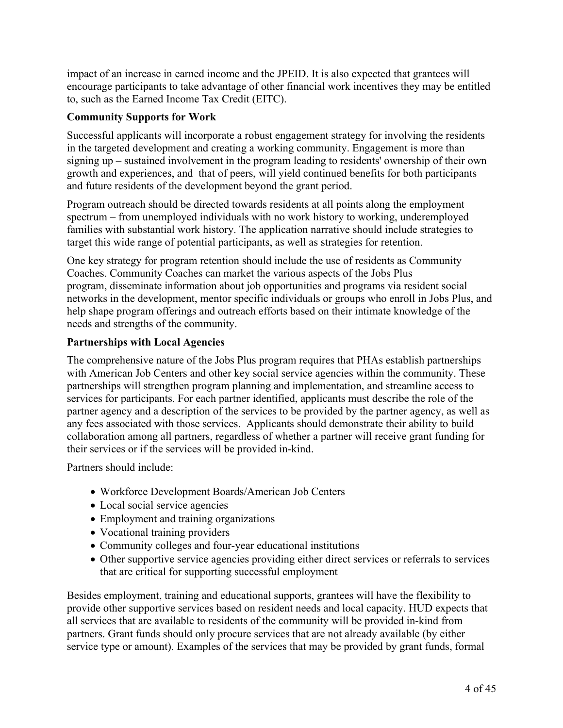impact of an increase in earned income and the JPEID. It is also expected that grantees will encourage participants to take advantage of other financial work incentives they may be entitled to, such as the Earned Income Tax Credit (EITC).

## **Community Supports for Work**

Successful applicants will incorporate a robust engagement strategy for involving the residents in the targeted development and creating a working community. Engagement is more than signing up – sustained involvement in the program leading to residents' ownership of their own growth and experiences, and that of peers, will yield continued benefits for both participants and future residents of the development beyond the grant period.

Program outreach should be directed towards residents at all points along the employment spectrum – from unemployed individuals with no work history to working, underemployed families with substantial work history. The application narrative should include strategies to target this wide range of potential participants, as well as strategies for retention.

One key strategy for program retention should include the use of residents as Community Coaches. Community Coaches can market the various aspects of the Jobs Plus program, disseminate information about job opportunities and programs via resident social networks in the development, mentor specific individuals or groups who enroll in Jobs Plus, and help shape program offerings and outreach efforts based on their intimate knowledge of the needs and strengths of the community.

## **Partnerships with Local Agencies**

The comprehensive nature of the Jobs Plus program requires that PHAs establish partnerships with American Job Centers and other key social service agencies within the community. These partnerships will strengthen program planning and implementation, and streamline access to services for participants. For each partner identified, applicants must describe the role of the partner agency and a description of the services to be provided by the partner agency, as well as any fees associated with those services. Applicants should demonstrate their ability to build collaboration among all partners, regardless of whether a partner will receive grant funding for their services or if the services will be provided in-kind.

Partners should include:

- Workforce Development Boards/American Job Centers
- Local social service agencies
- Employment and training organizations
- Vocational training providers
- Community colleges and four-year educational institutions
- Other supportive service agencies providing either direct services or referrals to services that are critical for supporting successful employment

Besides employment, training and educational supports, grantees will have the flexibility to provide other supportive services based on resident needs and local capacity. HUD expects that all services that are available to residents of the community will be provided in-kind from partners. Grant funds should only procure services that are not already available (by either service type or amount). Examples of the services that may be provided by grant funds, formal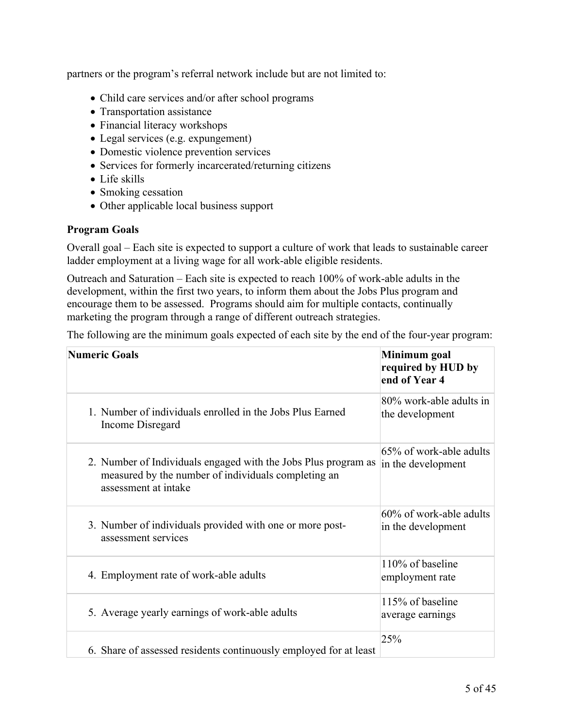partners or the program's referral network include but are not limited to:

- Child care services and/or after school programs
- Transportation assistance
- Financial literacy workshops
- Legal services (e.g. expungement)
- Domestic violence prevention services
- Services for formerly incarcerated/returning citizens
- Life skills
- Smoking cessation
- Other applicable local business support

## **Program Goals**

Overall goal – Each site is expected to support a culture of work that leads to sustainable career ladder employment at a living wage for all work-able eligible residents.

Outreach and Saturation – Each site is expected to reach 100% of work-able adults in the development, within the first two years, to inform them about the Jobs Plus program and encourage them to be assessed. Programs should aim for multiple contacts, continually marketing the program through a range of different outreach strategies.

The following are the minimum goals expected of each site by the end of the four-year program:

| <b>Numeric Goals</b>                                                                                                                          | Minimum goal<br>required by HUD by<br>end of Year 4 |  |
|-----------------------------------------------------------------------------------------------------------------------------------------------|-----------------------------------------------------|--|
| 1. Number of individuals enrolled in the Jobs Plus Earned<br>Income Disregard                                                                 | 80% work-able adults in<br>the development          |  |
| 2. Number of Individuals engaged with the Jobs Plus program as<br>measured by the number of individuals completing an<br>assessment at intake | 65% of work-able adults<br>in the development       |  |
| 3. Number of individuals provided with one or more post-<br>assessment services                                                               | 60% of work-able adults<br>in the development       |  |
| 4. Employment rate of work-able adults                                                                                                        | 110% of baseline<br>employment rate                 |  |
| 5. Average yearly earnings of work-able adults                                                                                                | 115% of baseline<br>average earnings                |  |
| 6. Share of assessed residents continuously employed for at least                                                                             | 25%                                                 |  |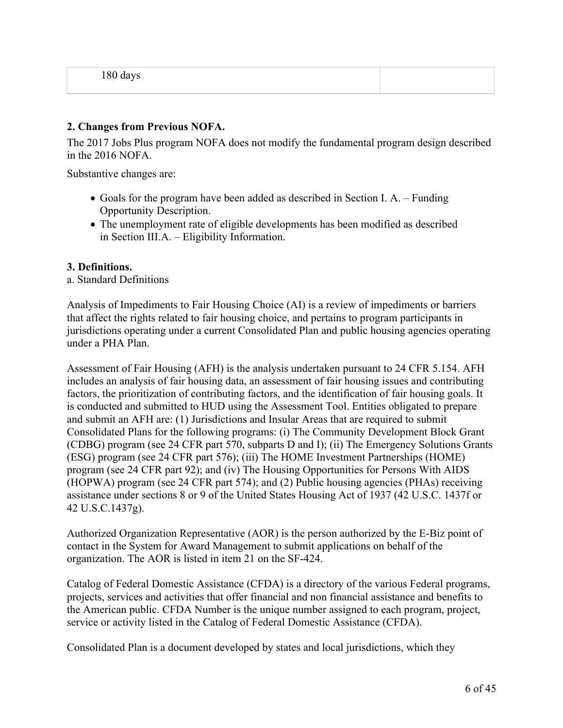#### **2. Changes from Previous NOFA.**

The 2017 Jobs Plus program NOFA does not modify the fundamental program design described in the 2016 NOFA.

Substantive changes are:

- Goals for the program have been added as described in Section I. A. Funding Opportunity Description.
- The unemployment rate of eligible developments has been modified as described in Section III.A. – Eligibility Information.

#### **3. Definitions.**

#### a. Standard Definitions

Analysis of Impediments to Fair Housing Choice (AI) is a review of impediments or barriers that affect the rights related to fair housing choice, and pertains to program participants in jurisdictions operating under a current Consolidated Plan and public housing agencies operating under a PHA Plan.

Assessment of Fair Housing (AFH) is the analysis undertaken pursuant to 24 CFR 5.154. AFH includes an analysis of fair housing data, an assessment of fair housing issues and contributing factors, the prioritization of contributing factors, and the identification of fair housing goals. It is conducted and submitted to HUD using the Assessment Tool. Entities obligated to prepare and submit an AFH are: (1) Jurisdictions and Insular Areas that are required to submit Consolidated Plans for the following programs: (i) The Community Development Block Grant (CDBG) program (see 24 CFR part 570, subparts D and I); (ii) The Emergency Solutions Grants (ESG) program (see 24 CFR part 576); (iii) The HOME Investment Partnerships (HOME) program (see 24 CFR part 92); and (iv) The Housing Opportunities for Persons With AIDS (HOPWA) program (see 24 CFR part 574); and (2) Public housing agencies (PHAs) receiving assistance under sections 8 or 9 of the United States Housing Act of 1937 (42 U.S.C. 1437f or 42 U.S.C.1437g).

Authorized Organization Representative (AOR) is the person authorized by the E-Biz point of contact in the System for Award Management to submit applications on behalf of the organization. The AOR is listed in item 21 on the SF-424.

Catalog of Federal Domestic Assistance (CFDA) is a directory of the various Federal programs, projects, services and activities that offer financial and non financial assistance and benefits to the American public. CFDA Number is the unique number assigned to each program, project, service or activity listed in the Catalog of Federal Domestic Assistance (CFDA).

Consolidated Plan is a document developed by states and local jurisdictions, which they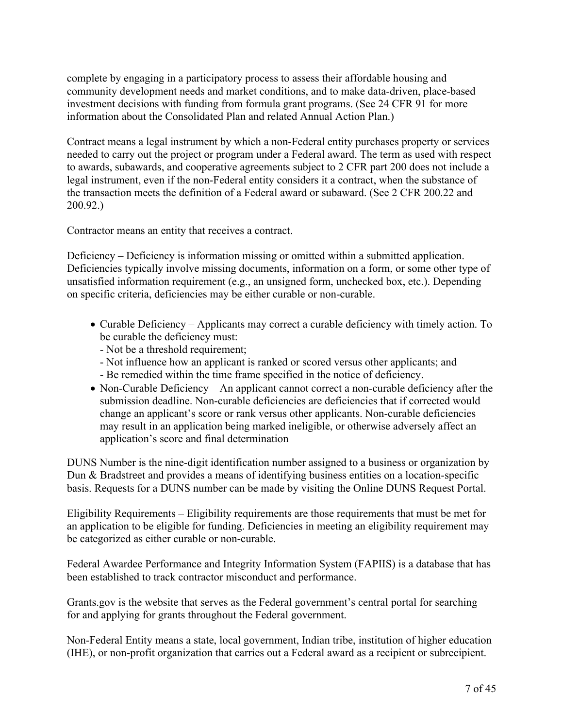complete by engaging in a participatory process to assess their affordable housing and community development needs and market conditions, and to make data-driven, place-based investment decisions with funding from formula grant programs. (See 24 CFR 91 for more information about the Consolidated Plan and related Annual Action Plan.)

Contract means a legal instrument by which a non-Federal entity purchases property or services needed to carry out the project or program under a Federal award. The term as used with respect to awards, subawards, and cooperative agreements subject to 2 CFR part 200 does not include a legal instrument, even if the non-Federal entity considers it a contract, when the substance of the transaction meets the definition of a Federal award or subaward. (See 2 CFR 200.22 and 200.92.)

Contractor means an entity that receives a contract.

Deficiency – Deficiency is information missing or omitted within a submitted application. Deficiencies typically involve missing documents, information on a form, or some other type of unsatisfied information requirement (e.g., an unsigned form, unchecked box, etc.). Depending on specific criteria, deficiencies may be either curable or non-curable.

- Curable Deficiency Applicants may correct a curable deficiency with timely action. To be curable the deficiency must:
	- Not be a threshold requirement;
	- Not influence how an applicant is ranked or scored versus other applicants; and
	- Be remedied within the time frame specified in the notice of deficiency.
- Non-Curable Deficiency An applicant cannot correct a non-curable deficiency after the submission deadline. Non-curable deficiencies are deficiencies that if corrected would change an applicant's score or rank versus other applicants. Non-curable deficiencies may result in an application being marked ineligible, or otherwise adversely affect an application's score and final determination

DUNS Number is the nine-digit identification number assigned to a business or organization by Dun & Bradstreet and provides a means of identifying business entities on a location-specific basis. Requests for a DUNS number can be made by visiting the Online DUNS Request Portal.

Eligibility Requirements – Eligibility requirements are those requirements that must be met for an application to be eligible for funding. Deficiencies in meeting an eligibility requirement may be categorized as either curable or non-curable.

Federal Awardee Performance and Integrity Information System (FAPIIS) is a database that has been established to track contractor misconduct and performance.

Grants.gov is the website that serves as the Federal government's central portal for searching for and applying for grants throughout the Federal government.

Non-Federal Entity means a state, local government, Indian tribe, institution of higher education (IHE), or non-profit organization that carries out a Federal award as a recipient or subrecipient.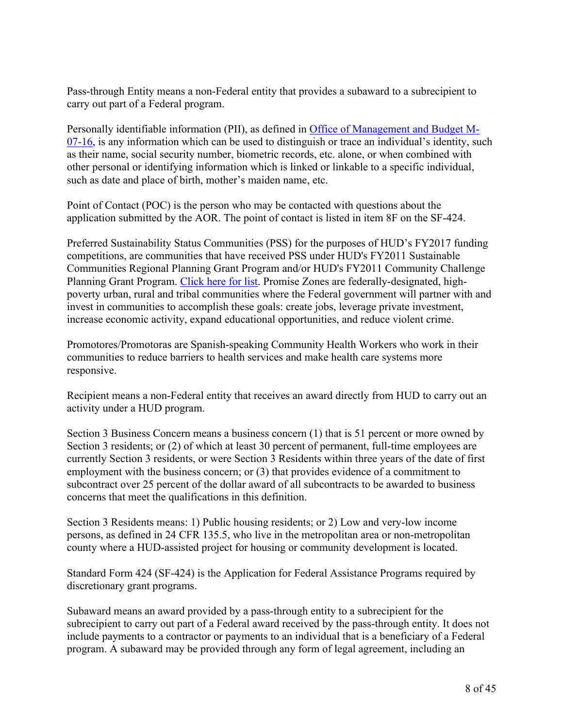Pass-through Entity means a non-Federal entity that provides a subaward to a subrecipient to carry out part of a Federal program.

Personally identifiable information (PII), as defined in Office of [Management](https://www.bia.gov/cs/groups/xocio/documents/text/idc-041032.pdf) and Budget M-[07-16,](https://www.bia.gov/cs/groups/xocio/documents/text/idc-041032.pdf) is any information which can be used to distinguish or trace an individual's identity, such as their name, social security number, biometric records, etc. alone, or when combined with other personal or identifying information which is linked or linkable to a specific individual, such as date and place of birth, mother's maiden name, etc.

Point of Contact (POC) is the person who may be contacted with questions about the application submitted by the AOR. The point of contact is listed in item 8F on the SF-424.

Preferred Sustainability Status Communities (PSS) for the purposes of HUD's FY2017 funding competitions, are communities that have received PSS under HUD's FY2011 Sustainable Communities Regional Planning Grant Program and/or HUD's FY2011 Community Challenge Planning Grant Program. [Click](https://portal.hud.gov/hudportal/documents/huddoc?id=PSS_POCs.pdf) here for list. Promise Zones are federally-designated, highpoverty urban, rural and tribal communities where the Federal government will partner with and invest in communities to accomplish these goals: create jobs, leverage private investment, increase economic activity, expand educational opportunities, and reduce violent crime.

Promotores/Promotoras are Spanish-speaking Community Health Workers who work in their communities to reduce barriers to health services and make health care systems more responsive.

Recipient means a non-Federal entity that receives an award directly from HUD to carry out an activity under a HUD program.

Section 3 Business Concern means a business concern (1) that is 51 percent or more owned by Section 3 residents; or (2) of which at least 30 percent of permanent, full-time employees are currently Section 3 residents, or were Section 3 Residents within three years of the date of first employment with the business concern; or (3) that provides evidence of a commitment to subcontract over 25 percent of the dollar award of all subcontracts to be awarded to business concerns that meet the qualifications in this definition.

Section 3 Residents means: 1) Public housing residents; or 2) Low and very-low income persons, as defined in 24 CFR 135.5, who live in the metropolitan area or non-metropolitan county where a HUD-assisted project for housing or community development is located.

Standard Form 424 (SF-424) is the Application for Federal Assistance Programs required by discretionary grant programs.

Subaward means an award provided by a pass-through entity to a subrecipient for the subrecipient to carry out part of a Federal award received by the pass-through entity. It does not include payments to a contractor or payments to an individual that is a beneficiary of a Federal program. A subaward may be provided through any form of legal agreement, including an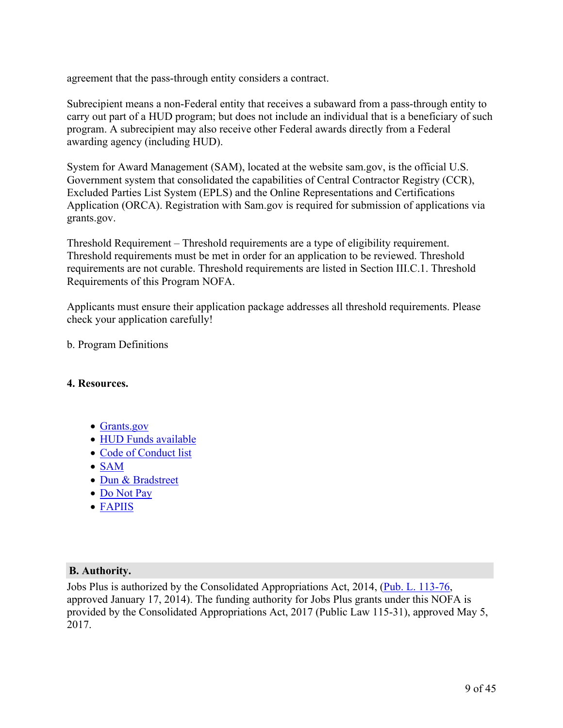agreement that the pass-through entity considers a contract.

Subrecipient means a non-Federal entity that receives a subaward from a pass-through entity to carry out part of a HUD program; but does not include an individual that is a beneficiary of such program. A subrecipient may also receive other Federal awards directly from a Federal awarding agency (including HUD).

System for Award Management (SAM), located at the website sam.gov, is the official U.S. Government system that consolidated the capabilities of Central Contractor Registry (CCR), Excluded Parties List System (EPLS) and the Online Representations and Certifications Application (ORCA). Registration with Sam.gov is required for submission of applications via grants.gov.

Threshold Requirement – Threshold requirements are a type of eligibility requirement. Threshold requirements must be met in order for an application to be reviewed. Threshold requirements are not curable. Threshold requirements are listed in Section III.C.1. Threshold Requirements of this Program NOFA.

Applicants must ensure their application package addresses all threshold requirements. Please check your application carefully!

b. Program Definitions

#### **4. Resources.**

- [Grants.gov](https://www.grants.gov/)
- HUD Funds [available](https://portal.hud.gov/hudportal/HUD?src=/program_offices/administration/grants/fundsavail)
- Code of [Conduct](https://portal.hud.gov/hudportal/HUD?src=/program_offices/administration/grants/conduct) list
- [SAM](https://www.sam.gov/)
- Dun & [Bradstreet](https://fedgov.dnb.com/webform)
- Do [Not](https://donotpay.treas.gov/) Pay
- [FAPIIS](https://www.fapiis.gov/fapiis/index.action)

## **B. Authority.**

Jobs Plus is authorized by the Consolidated Appropriations Act, 2014, (Pub. L. [113-76](https://api.fdsys.gov/link?collection=plaw&congress=113&lawtype=public&lawnum=76&link-type=html), approved January 17, 2014). The funding authority for Jobs Plus grants under this NOFA is provided by the Consolidated Appropriations Act, 2017 (Public Law 115-31), approved May 5, 2017.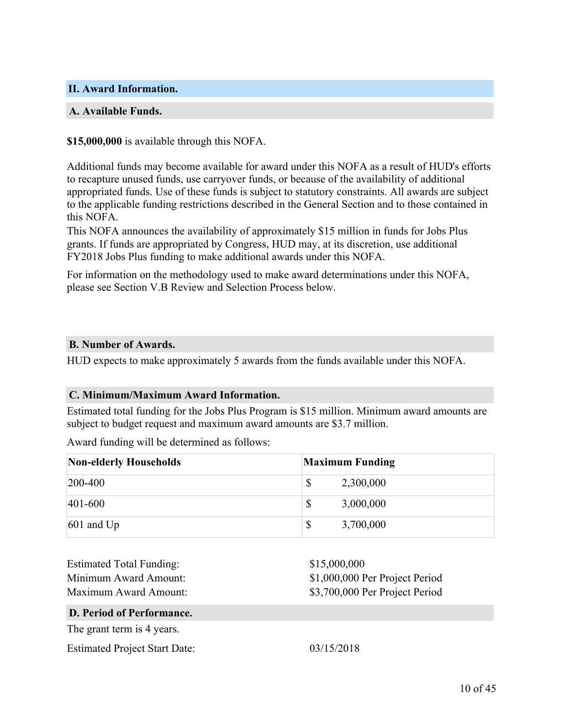#### <span id="page-11-0"></span>**II. Award Information.**

#### **A. Available Funds.**

#### **\$15,000,000** is available through this NOFA.

Additional funds may become available for award under this NOFA as a result of HUD's efforts to recapture unused funds, use carryover funds, or because of the availability of additional appropriated funds. Use of these funds is subject to statutory constraints. All awards are subject to the applicable funding restrictions described in the General Section and to those contained in this NOFA.

This NOFA announces the availability of approximately \$15 million in funds for Jobs Plus grants. If funds are appropriated by Congress, HUD may, at its discretion, use additional FY2018 Jobs Plus funding to make additional awards under this NOFA.

For information on the methodology used to make award determinations under this NOFA, please see Section V.B Review and Selection Process below.

#### **B. Number of Awards.**

HUD expects to make approximately 5 awards from the funds available under this NOFA.

#### **C. Minimum/Maximum Award Information.**

Estimated total funding for the Jobs Plus Program is \$15 million. Minimum award amounts are subject to budget request and maximum award amounts are \$3.7 million.

Award funding will be determined as follows:

| <b>Non-elderly Households</b> | <b>Maximum Funding</b> |
|-------------------------------|------------------------|
| $ 200-400 $                   | \$<br>2,300,000        |
| $ 401 - 600 $                 | \$<br>3,000,000        |
| $601$ and Up                  | \$<br>3,700,000        |

| <b>Estimated Total Funding:</b><br>Minimum Award Amount:<br>Maximum Award Amount: | \$15,000,000<br>\$1,000,000 Per Project Period<br>\$3,700,000 Per Project Period |
|-----------------------------------------------------------------------------------|----------------------------------------------------------------------------------|
| D. Period of Performance.                                                         |                                                                                  |
| The grant term is 4 years.                                                        |                                                                                  |
| <b>Estimated Project Start Date:</b>                                              | 03/15/2018                                                                       |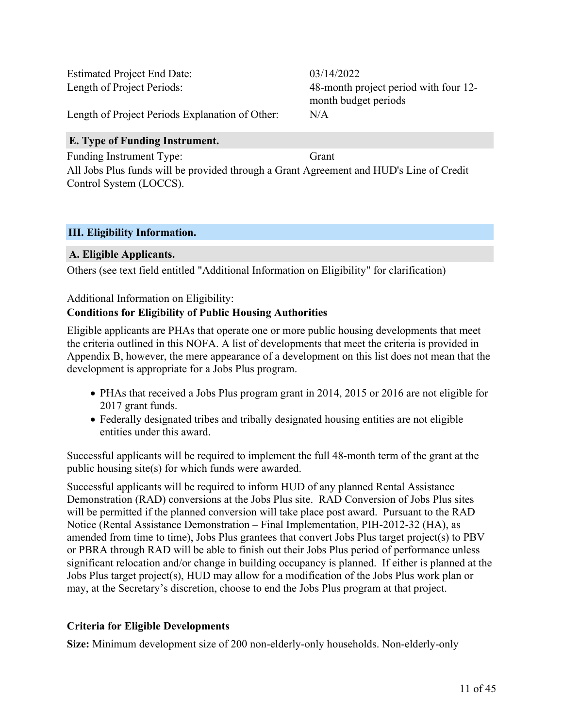Estimated Project End Date: 03/14/2022

Length of Project Periods: 48-month project period with four 12 month budget periods

Length of Project Periods Explanation of Other: N/A

## **E. Type of Funding Instrument.**

Funding Instrument Type: Grant All Jobs Plus funds will be provided through a Grant Agreement and HUD's Line of Credit Control System (LOCCS).

## <span id="page-12-0"></span>**III. Eligibility Information.**

## **A. Eligible Applicants.**

Others (see text field entitled "Additional Information on Eligibility" for clarification)

#### Additional Information on Eligibility:

## **Conditions for Eligibility of Public Housing Authorities**

Eligible applicants are PHAs that operate one or more public housing developments that meet the criteria outlined in this NOFA. A list of developments that meet the criteria is provided in Appendix B, however, the mere appearance of a development on this list does not mean that the development is appropriate for a Jobs Plus program.

- PHAs that received a Jobs Plus program grant in 2014, 2015 or 2016 are not eligible for 2017 grant funds.
- Federally designated tribes and tribally designated housing entities are not eligible entities under this award.

Successful applicants will be required to implement the full 48-month term of the grant at the public housing site(s) for which funds were awarded.

Successful applicants will be required to inform HUD of any planned Rental Assistance Demonstration (RAD) conversions at the Jobs Plus site. RAD Conversion of Jobs Plus sites will be permitted if the planned conversion will take place post award. Pursuant to the RAD Notice (Rental Assistance Demonstration – Final Implementation, PIH-2012-32 (HA), as amended from time to time), Jobs Plus grantees that convert Jobs Plus target project(s) to PBV or PBRA through RAD will be able to finish out their Jobs Plus period of performance unless significant relocation and/or change in building occupancy is planned. If either is planned at the Jobs Plus target project(s), HUD may allow for a modification of the Jobs Plus work plan or may, at the Secretary's discretion, choose to end the Jobs Plus program at that project.

## **Criteria for Eligible Developments**

**Size:** Minimum development size of 200 non-elderly-only households. Non-elderly-only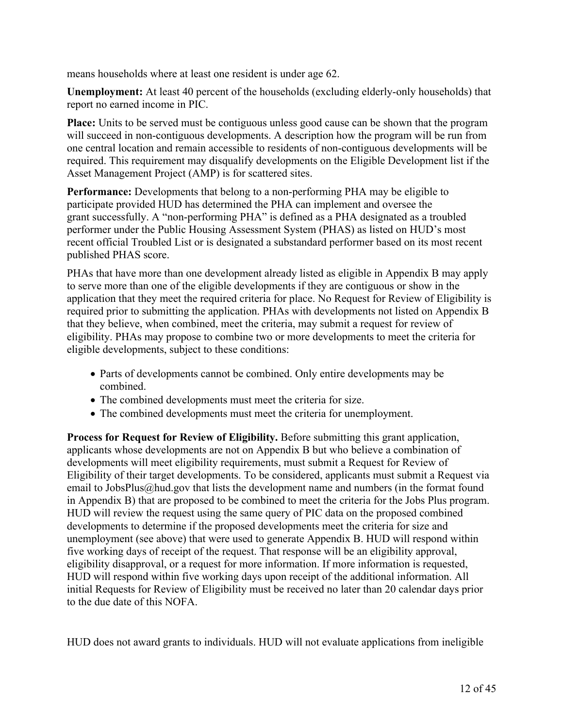means households where at least one resident is under age 62.

**Unemployment:** At least 40 percent of the households (excluding elderly-only households) that report no earned income in PIC.

**Place:** Units to be served must be contiguous unless good cause can be shown that the program will succeed in non-contiguous developments. A description how the program will be run from one central location and remain accessible to residents of non-contiguous developments will be required. This requirement may disqualify developments on the Eligible Development list if the Asset Management Project (AMP) is for scattered sites.

**Performance:** Developments that belong to a non-performing PHA may be eligible to participate provided HUD has determined the PHA can implement and oversee the grant successfully. A "non-performing PHA" is defined as a PHA designated as a troubled performer under the Public Housing Assessment System (PHAS) as listed on HUD's most recent official Troubled List or is designated a substandard performer based on its most recent published PHAS score.

PHAs that have more than one development already listed as eligible in Appendix B may apply to serve more than one of the eligible developments if they are contiguous or show in the application that they meet the required criteria for place. No Request for Review of Eligibility is required prior to submitting the application. PHAs with developments not listed on Appendix B that they believe, when combined, meet the criteria, may submit a request for review of eligibility. PHAs may propose to combine two or more developments to meet the criteria for eligible developments, subject to these conditions:

- Parts of developments cannot be combined. Only entire developments may be combined.
- The combined developments must meet the criteria for size.
- The combined developments must meet the criteria for unemployment.

**Process for Request for Review of Eligibility.** Before submitting this grant application, applicants whose developments are not on Appendix B but who believe a combination of developments will meet eligibility requirements, must submit a Request for Review of Eligibility of their target developments. To be considered, applicants must submit a Request via email to JobsPlus@hud.gov that lists the development name and numbers (in the format found in Appendix B) that are proposed to be combined to meet the criteria for the Jobs Plus program. HUD will review the request using the same query of PIC data on the proposed combined developments to determine if the proposed developments meet the criteria for size and unemployment (see above) that were used to generate Appendix B. HUD will respond within five working days of receipt of the request. That response will be an eligibility approval, eligibility disapproval, or a request for more information. If more information is requested, HUD will respond within five working days upon receipt of the additional information. All initial Requests for Review of Eligibility must be received no later than 20 calendar days prior to the due date of this NOFA.

HUD does not award grants to individuals. HUD will not evaluate applications from ineligible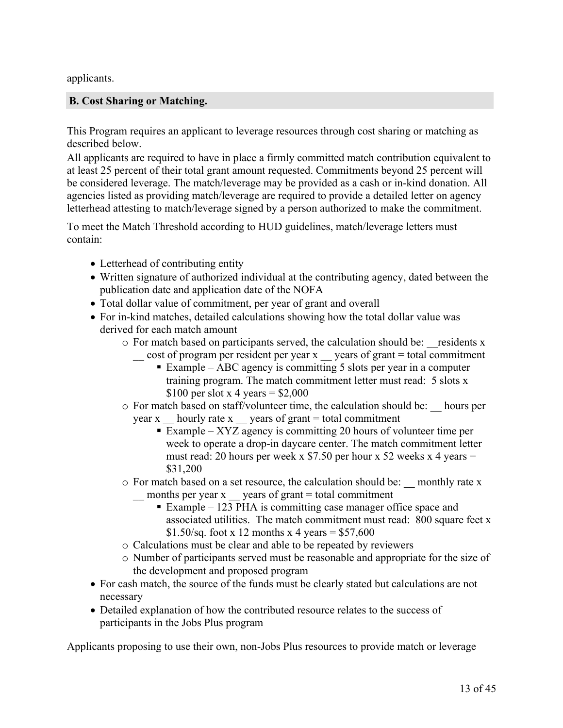applicants.

## **B. Cost Sharing or Matching.**

This Program requires an applicant to leverage resources through cost sharing or matching as described below.

All applicants are required to have in place a firmly committed match contribution equivalent to at least 25 percent of their total grant amount requested. Commitments beyond 25 percent will be considered leverage. The match/leverage may be provided as a cash or in-kind donation. All agencies listed as providing match/leverage are required to provide a detailed letter on agency letterhead attesting to match/leverage signed by a person authorized to make the commitment.

To meet the Match Threshold according to HUD guidelines, match/leverage letters must contain:

- Letterhead of contributing entity
- Written signature of authorized individual at the contributing agency, dated between the publication date and application date of the NOFA
- Total dollar value of commitment, per year of grant and overall
- For in-kind matches, detailed calculations showing how the total dollar value was derived for each match amount
	- o For match based on participants served, the calculation should be: \_\_residents x cost of program per resident per year x years of grant = total commitment
		- Example ABC agency is committing 5 slots per year in a computer training program. The match commitment letter must read: 5 slots x \$100 per slot x 4 years =  $$2,000$
	- o For match based on staff/volunteer time, the calculation should be: \_\_ hours per year x  $\frac{1}{2}$  hourly rate x  $\frac{1}{2}$  years of grant = total commitment
		- Example XYZ agency is committing 20 hours of volunteer time per week to operate a drop-in daycare center. The match commitment letter must read: 20 hours per week x \$7.50 per hour x 52 weeks x 4 years  $=$ \$31,200
	- o For match based on a set resource, the calculation should be: \_\_ monthly rate x months per year x  $\frac{1}{2}$  years of grant = total commitment
		- Example 123 PHA is committing case manager office space and associated utilities. The match commitment must read: 800 square feet x \$1.50/sq. foot x 12 months x 4 years = \$57,600
	- o Calculations must be clear and able to be repeated by reviewers
	- o Number of participants served must be reasonable and appropriate for the size of the development and proposed program
- For cash match, the source of the funds must be clearly stated but calculations are not necessary
- Detailed explanation of how the contributed resource relates to the success of participants in the Jobs Plus program

Applicants proposing to use their own, non-Jobs Plus resources to provide match or leverage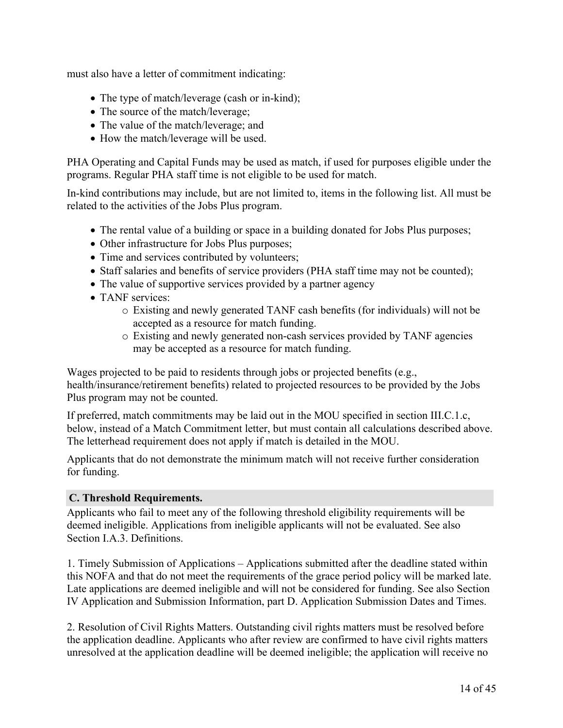must also have a letter of commitment indicating:

- The type of match/leverage (cash or in-kind);
- The source of the match/leverage;
- The value of the match/leverage; and
- How the match/leverage will be used.

PHA Operating and Capital Funds may be used as match, if used for purposes eligible under the programs. Regular PHA staff time is not eligible to be used for match.

In-kind contributions may include, but are not limited to, items in the following list. All must be related to the activities of the Jobs Plus program.

- The rental value of a building or space in a building donated for Jobs Plus purposes;
- Other infrastructure for Jobs Plus purposes;
- Time and services contributed by volunteers;
- Staff salaries and benefits of service providers (PHA staff time may not be counted);
- The value of supportive services provided by a partner agency
- TANF services:
	- o Existing and newly generated TANF cash benefits (for individuals) will not be accepted as a resource for match funding.
	- o Existing and newly generated non-cash services provided by TANF agencies may be accepted as a resource for match funding.

Wages projected to be paid to residents through jobs or projected benefits (e.g., health/insurance/retirement benefits) related to projected resources to be provided by the Jobs Plus program may not be counted.

If preferred, match commitments may be laid out in the MOU specified in section III.C.1.c, below, instead of a Match Commitment letter, but must contain all calculations described above. The letterhead requirement does not apply if match is detailed in the MOU.

Applicants that do not demonstrate the minimum match will not receive further consideration for funding.

## **C. Threshold Requirements.**

Applicants who fail to meet any of the following threshold eligibility requirements will be deemed ineligible. Applications from ineligible applicants will not be evaluated. See also Section I.A.3. Definitions.

1. Timely Submission of Applications – Applications submitted after the deadline stated within this NOFA and that do not meet the requirements of the grace period policy will be marked late. Late applications are deemed ineligible and will not be considered for funding. See also Section IV Application and Submission Information, part D. Application Submission Dates and Times.

2. Resolution of Civil Rights Matters. Outstanding civil rights matters must be resolved before the application deadline. Applicants who after review are confirmed to have civil rights matters unresolved at the application deadline will be deemed ineligible; the application will receive no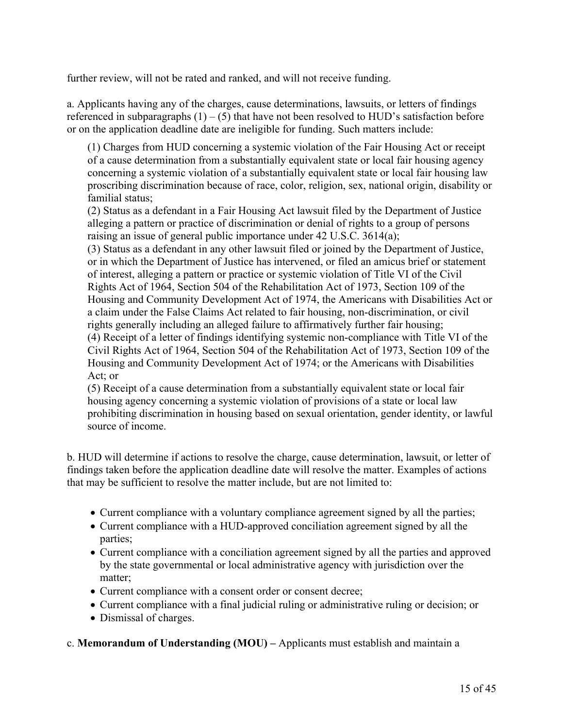further review, will not be rated and ranked, and will not receive funding.

a. Applicants having any of the charges, cause determinations, lawsuits, or letters of findings referenced in subparagraphs  $(1) - (5)$  that have not been resolved to HUD's satisfaction before or on the application deadline date are ineligible for funding. Such matters include:

(1) Charges from HUD concerning a systemic violation of the Fair Housing Act or receipt of a cause determination from a substantially equivalent state or local fair housing agency concerning a systemic violation of a substantially equivalent state or local fair housing law proscribing discrimination because of race, color, religion, sex, national origin, disability or familial status;

(2) Status as a defendant in a Fair Housing Act lawsuit filed by the Department of Justice alleging a pattern or practice of discrimination or denial of rights to a group of persons raising an issue of general public importance under 42 U.S.C. 3614(a);

(3) Status as a defendant in any other lawsuit filed or joined by the Department of Justice, or in which the Department of Justice has intervened, or filed an amicus brief or statement of interest, alleging a pattern or practice or systemic violation of Title VI of the Civil Rights Act of 1964, Section 504 of the Rehabilitation Act of 1973, Section 109 of the Housing and Community Development Act of 1974, the Americans with Disabilities Act or a claim under the False Claims Act related to fair housing, non-discrimination, or civil rights generally including an alleged failure to affirmatively further fair housing; (4) Receipt of a letter of findings identifying systemic non-compliance with Title VI of the Civil Rights Act of 1964, Section 504 of the Rehabilitation Act of 1973, Section 109 of the Housing and Community Development Act of 1974; or the Americans with Disabilities Act; or

(5) Receipt of a cause determination from a substantially equivalent state or local fair housing agency concerning a systemic violation of provisions of a state or local law prohibiting discrimination in housing based on sexual orientation, gender identity, or lawful source of income.

b. HUD will determine if actions to resolve the charge, cause determination, lawsuit, or letter of findings taken before the application deadline date will resolve the matter. Examples of actions that may be sufficient to resolve the matter include, but are not limited to:

- Current compliance with a voluntary compliance agreement signed by all the parties;
- Current compliance with a HUD-approved conciliation agreement signed by all the parties;
- Current compliance with a conciliation agreement signed by all the parties and approved by the state governmental or local administrative agency with jurisdiction over the matter;
- Current compliance with a consent order or consent decree;
- Current compliance with a final judicial ruling or administrative ruling or decision; or
- Dismissal of charges.

## c. **Memorandum of Understanding (MOU) –** Applicants must establish and maintain a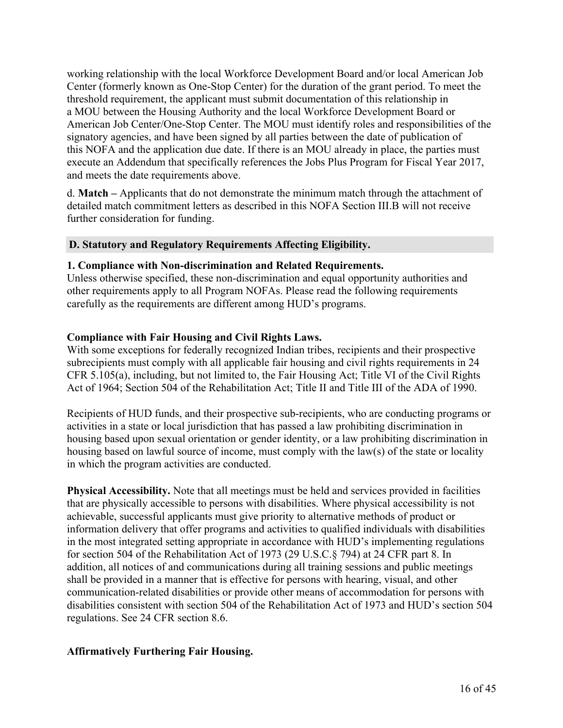working relationship with the local Workforce Development Board and/or local American Job Center (formerly known as One-Stop Center) for the duration of the grant period. To meet the threshold requirement, the applicant must submit documentation of this relationship in a MOU between the Housing Authority and the local Workforce Development Board or American Job Center/One-Stop Center. The MOU must identify roles and responsibilities of the signatory agencies, and have been signed by all parties between the date of publication of this NOFA and the application due date. If there is an MOU already in place, the parties must execute an Addendum that specifically references the Jobs Plus Program for Fiscal Year 2017, and meets the date requirements above.

d. **Match –** Applicants that do not demonstrate the minimum match through the attachment of detailed match commitment letters as described in this NOFA Section III.B will not receive further consideration for funding.

#### **D. Statutory and Regulatory Requirements Affecting Eligibility.**

#### **1. Compliance with Non-discrimination and Related Requirements.**

Unless otherwise specified, these non-discrimination and equal opportunity authorities and other requirements apply to all Program NOFAs. Please read the following requirements carefully as the requirements are different among HUD's programs.

#### **Compliance with Fair Housing and Civil Rights Laws.**

With some exceptions for federally recognized Indian tribes, recipients and their prospective subrecipients must comply with all applicable fair housing and civil rights requirements in 24 CFR 5.105(a), including, but not limited to, the Fair Housing Act; Title VI of the Civil Rights Act of 1964; Section 504 of the Rehabilitation Act; Title II and Title III of the ADA of 1990.

Recipients of HUD funds, and their prospective sub-recipients, who are conducting programs or activities in a state or local jurisdiction that has passed a law prohibiting discrimination in housing based upon sexual orientation or gender identity, or a law prohibiting discrimination in housing based on lawful source of income, must comply with the law(s) of the state or locality in which the program activities are conducted.

**Physical Accessibility.** Note that all meetings must be held and services provided in facilities that are physically accessible to persons with disabilities. Where physical accessibility is not achievable, successful applicants must give priority to alternative methods of product or information delivery that offer programs and activities to qualified individuals with disabilities in the most integrated setting appropriate in accordance with HUD's implementing regulations for section 504 of the Rehabilitation Act of 1973 (29 U.S.C.§ 794) at 24 CFR part 8. In addition, all notices of and communications during all training sessions and public meetings shall be provided in a manner that is effective for persons with hearing, visual, and other communication-related disabilities or provide other means of accommodation for persons with disabilities consistent with section 504 of the Rehabilitation Act of 1973 and HUD's section 504 regulations. See 24 CFR section 8.6.

#### **Affirmatively Furthering Fair Housing.**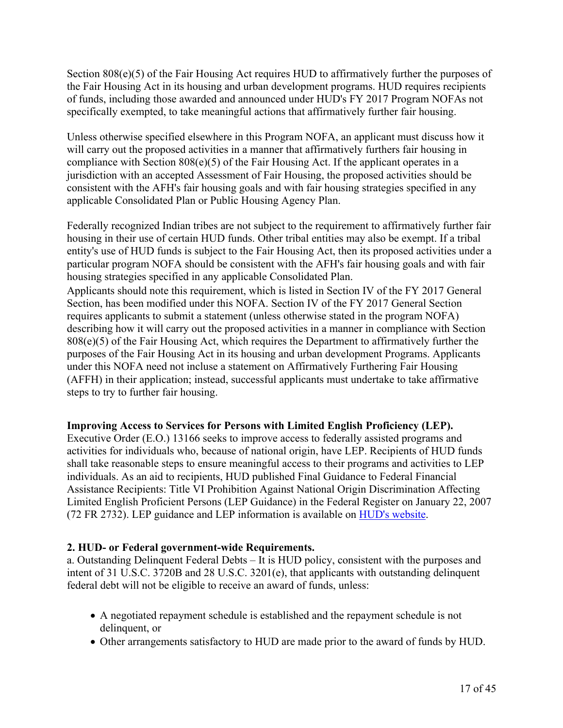Section 808(e)(5) of the Fair Housing Act requires HUD to affirmatively further the purposes of the Fair Housing Act in its housing and urban development programs. HUD requires recipients of funds, including those awarded and announced under HUD's FY 2017 Program NOFAs not specifically exempted, to take meaningful actions that affirmatively further fair housing.

Unless otherwise specified elsewhere in this Program NOFA, an applicant must discuss how it will carry out the proposed activities in a manner that affirmatively furthers fair housing in compliance with Section 808(e)(5) of the Fair Housing Act. If the applicant operates in a jurisdiction with an accepted Assessment of Fair Housing, the proposed activities should be consistent with the AFH's fair housing goals and with fair housing strategies specified in any applicable Consolidated Plan or Public Housing Agency Plan.

Federally recognized Indian tribes are not subject to the requirement to affirmatively further fair housing in their use of certain HUD funds. Other tribal entities may also be exempt. If a tribal entity's use of HUD funds is subject to the Fair Housing Act, then its proposed activities under a particular program NOFA should be consistent with the AFH's fair housing goals and with fair housing strategies specified in any applicable Consolidated Plan.

Applicants should note this requirement, which is listed in Section IV of the FY 2017 General Section, has been modified under this NOFA. Section IV of the FY 2017 General Section requires applicants to submit a statement (unless otherwise stated in the program NOFA) describing how it will carry out the proposed activities in a manner in compliance with Section 808(e)(5) of the Fair Housing Act, which requires the Department to affirmatively further the purposes of the Fair Housing Act in its housing and urban development Programs. Applicants under this NOFA need not incluse a statement on Affirmatively Furthering Fair Housing (AFFH) in their application; instead, successful applicants must undertake to take affirmative steps to try to further fair housing.

## **Improving Access to Services for Persons with Limited English Proficiency (LEP).**

Executive Order (E.O.) 13166 seeks to improve access to federally assisted programs and activities for individuals who, because of national origin, have LEP. Recipients of HUD funds shall take reasonable steps to ensure meaningful access to their programs and activities to LEP individuals. As an aid to recipients, HUD published Final Guidance to Federal Financial Assistance Recipients: Title VI Prohibition Against National Origin Discrimination Affecting Limited English Proficient Persons (LEP Guidance) in the Federal Register on January 22, 2007 (72 FR 2732). LEP guidance and LEP information is available on HUD's [website](http://portal.hud.gov/hudportal/HUD?src=/program_offices/fair_housing_equal_opp/promotingfh/lep-faq).

#### **2. HUD- or Federal government-wide Requirements.**

a. Outstanding Delinquent Federal Debts – It is HUD policy, consistent with the purposes and intent of 31 U.S.C. 3720B and 28 U.S.C. 3201(e), that applicants with outstanding delinquent federal debt will not be eligible to receive an award of funds, unless:

- A negotiated repayment schedule is established and the repayment schedule is not delinquent, or
- Other arrangements satisfactory to HUD are made prior to the award of funds by HUD.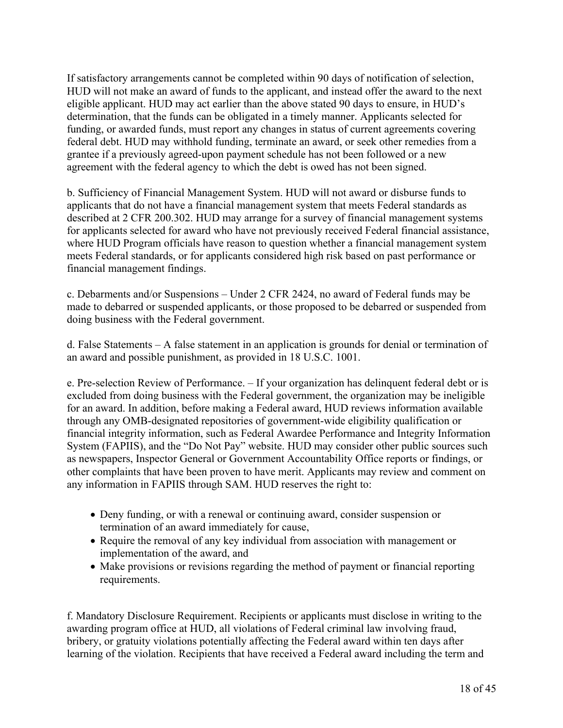If satisfactory arrangements cannot be completed within 90 days of notification of selection, HUD will not make an award of funds to the applicant, and instead offer the award to the next eligible applicant. HUD may act earlier than the above stated 90 days to ensure, in HUD's determination, that the funds can be obligated in a timely manner. Applicants selected for funding, or awarded funds, must report any changes in status of current agreements covering federal debt. HUD may withhold funding, terminate an award, or seek other remedies from a grantee if a previously agreed-upon payment schedule has not been followed or a new agreement with the federal agency to which the debt is owed has not been signed.

b. Sufficiency of Financial Management System. HUD will not award or disburse funds to applicants that do not have a financial management system that meets Federal standards as described at 2 CFR 200.302. HUD may arrange for a survey of financial management systems for applicants selected for award who have not previously received Federal financial assistance, where HUD Program officials have reason to question whether a financial management system meets Federal standards, or for applicants considered high risk based on past performance or financial management findings.

c. Debarments and/or Suspensions – Under 2 CFR 2424, no award of Federal funds may be made to debarred or suspended applicants, or those proposed to be debarred or suspended from doing business with the Federal government.

d. False Statements – A false statement in an application is grounds for denial or termination of an award and possible punishment, as provided in 18 U.S.C. 1001.

e. Pre-selection Review of Performance. – If your organization has delinquent federal debt or is excluded from doing business with the Federal government, the organization may be ineligible for an award. In addition, before making a Federal award, HUD reviews information available through any OMB-designated repositories of government-wide eligibility qualification or financial integrity information, such as Federal Awardee Performance and Integrity Information System (FAPIIS), and the "Do Not Pay" website. HUD may consider other public sources such as newspapers, Inspector General or Government Accountability Office reports or findings, or other complaints that have been proven to have merit. Applicants may review and comment on any information in FAPIIS through SAM. HUD reserves the right to:

- Deny funding, or with a renewal or continuing award, consider suspension or termination of an award immediately for cause,
- Require the removal of any key individual from association with management or implementation of the award, and
- Make provisions or revisions regarding the method of payment or financial reporting requirements.

f. Mandatory Disclosure Requirement. Recipients or applicants must disclose in writing to the awarding program office at HUD, all violations of Federal criminal law involving fraud, bribery, or gratuity violations potentially affecting the Federal award within ten days after learning of the violation. Recipients that have received a Federal award including the term and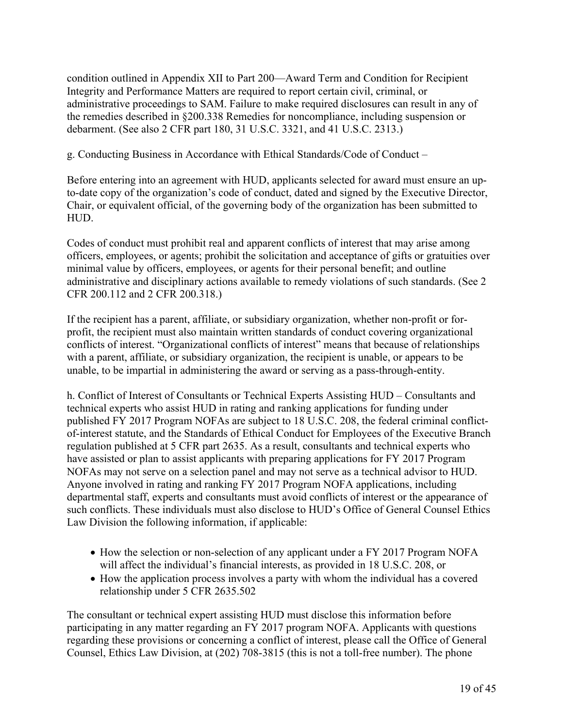condition outlined in Appendix XII to Part 200—Award Term and Condition for Recipient Integrity and Performance Matters are required to report certain civil, criminal, or administrative proceedings to SAM. Failure to make required disclosures can result in any of the remedies described in §200.338 Remedies for noncompliance, including suspension or debarment. (See also 2 CFR part 180, 31 U.S.C. 3321, and 41 U.S.C. 2313.)

g. Conducting Business in Accordance with Ethical Standards/Code of Conduct –

Before entering into an agreement with HUD, applicants selected for award must ensure an upto-date copy of the organization's code of conduct, dated and signed by the Executive Director, Chair, or equivalent official, of the governing body of the organization has been submitted to HUD.

Codes of conduct must prohibit real and apparent conflicts of interest that may arise among officers, employees, or agents; prohibit the solicitation and acceptance of gifts or gratuities over minimal value by officers, employees, or agents for their personal benefit; and outline administrative and disciplinary actions available to remedy violations of such standards. (See 2 CFR 200.112 and 2 CFR 200.318.)

If the recipient has a parent, affiliate, or subsidiary organization, whether non-profit or forprofit, the recipient must also maintain written standards of conduct covering organizational conflicts of interest. "Organizational conflicts of interest" means that because of relationships with a parent, affiliate, or subsidiary organization, the recipient is unable, or appears to be unable, to be impartial in administering the award or serving as a pass-through-entity.

h. Conflict of Interest of Consultants or Technical Experts Assisting HUD – Consultants and technical experts who assist HUD in rating and ranking applications for funding under published FY 2017 Program NOFAs are subject to 18 U.S.C. 208, the federal criminal conflictof-interest statute, and the Standards of Ethical Conduct for Employees of the Executive Branch regulation published at 5 CFR part 2635. As a result, consultants and technical experts who have assisted or plan to assist applicants with preparing applications for FY 2017 Program NOFAs may not serve on a selection panel and may not serve as a technical advisor to HUD. Anyone involved in rating and ranking FY 2017 Program NOFA applications, including departmental staff, experts and consultants must avoid conflicts of interest or the appearance of such conflicts. These individuals must also disclose to HUD's Office of General Counsel Ethics Law Division the following information, if applicable:

- How the selection or non-selection of any applicant under a FY 2017 Program NOFA will affect the individual's financial interests, as provided in 18 U.S.C. 208, or
- How the application process involves a party with whom the individual has a covered relationship under 5 CFR 2635.502

The consultant or technical expert assisting HUD must disclose this information before participating in any matter regarding an FY 2017 program NOFA. Applicants with questions regarding these provisions or concerning a conflict of interest, please call the Office of General Counsel, Ethics Law Division, at (202) 708-3815 (this is not a toll-free number). The phone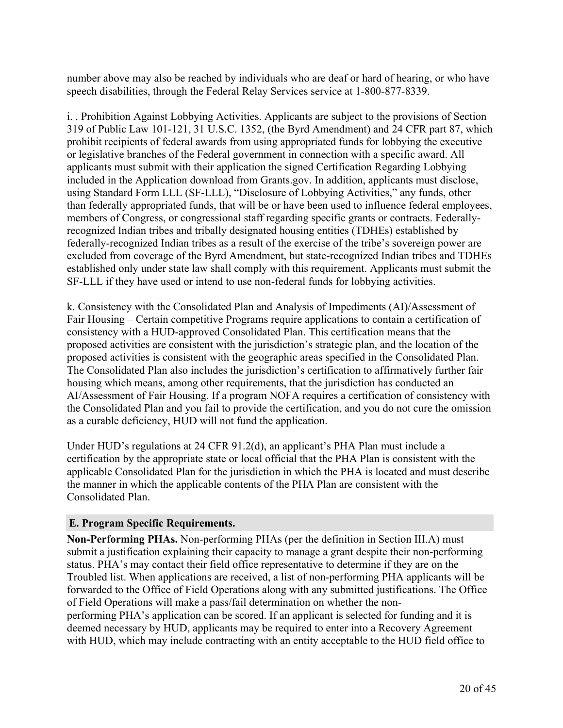number above may also be reached by individuals who are deaf or hard of hearing, or who have speech disabilities, through the Federal Relay Services service at 1-800-877-8339.

i. . Prohibition Against Lobbying Activities. Applicants are subject to the provisions of Section 319 of Public Law 101-121, 31 U.S.C. 1352, (the Byrd Amendment) and 24 CFR part 87, which prohibit recipients of federal awards from using appropriated funds for lobbying the executive or legislative branches of the Federal government in connection with a specific award. All applicants must submit with their application the signed Certification Regarding Lobbying included in the Application download from Grants.gov. In addition, applicants must disclose, using Standard Form LLL (SF-LLL), "Disclosure of Lobbying Activities," any funds, other than federally appropriated funds, that will be or have been used to influence federal employees, members of Congress, or congressional staff regarding specific grants or contracts. Federallyrecognized Indian tribes and tribally designated housing entities (TDHEs) established by federally-recognized Indian tribes as a result of the exercise of the tribe's sovereign power are excluded from coverage of the Byrd Amendment, but state-recognized Indian tribes and TDHEs established only under state law shall comply with this requirement. Applicants must submit the SF-LLL if they have used or intend to use non-federal funds for lobbying activities.

k. Consistency with the Consolidated Plan and Analysis of Impediments (AI)/Assessment of Fair Housing – Certain competitive Programs require applications to contain a certification of consistency with a HUD-approved Consolidated Plan. This certification means that the proposed activities are consistent with the jurisdiction's strategic plan, and the location of the proposed activities is consistent with the geographic areas specified in the Consolidated Plan. The Consolidated Plan also includes the jurisdiction's certification to affirmatively further fair housing which means, among other requirements, that the jurisdiction has conducted an AI/Assessment of Fair Housing. If a program NOFA requires a certification of consistency with the Consolidated Plan and you fail to provide the certification, and you do not cure the omission as a curable deficiency, HUD will not fund the application.

Under HUD's regulations at 24 CFR 91.2(d), an applicant's PHA Plan must include a certification by the appropriate state or local official that the PHA Plan is consistent with the applicable Consolidated Plan for the jurisdiction in which the PHA is located and must describe the manner in which the applicable contents of the PHA Plan are consistent with the Consolidated Plan.

## **E. Program Specific Requirements.**

**Non-Performing PHAs.** Non-performing PHAs (per the definition in Section III.A) must submit a justification explaining their capacity to manage a grant despite their non-performing status. PHA's may contact their field office representative to determine if they are on the Troubled list. When applications are received, a list of non-performing PHA applicants will be forwarded to the Office of Field Operations along with any submitted justifications. The Office of Field Operations will make a pass/fail determination on whether the nonperforming PHA's application can be scored. If an applicant is selected for funding and it is deemed necessary by HUD, applicants may be required to enter into a Recovery Agreement with HUD, which may include contracting with an entity acceptable to the HUD field office to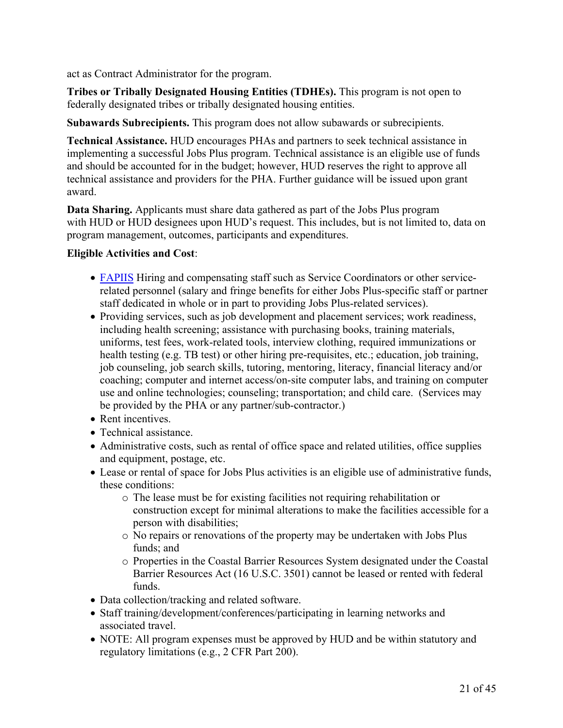act as Contract Administrator for the program.

**Tribes or Tribally Designated Housing Entities (TDHEs).** This program is not open to federally designated tribes or tribally designated housing entities.

**Subawards Subrecipients.** This program does not allow subawards or subrecipients.

**Technical Assistance.** HUD encourages PHAs and partners to seek technical assistance in implementing a successful Jobs Plus program. Technical assistance is an eligible use of funds and should be accounted for in the budget; however, HUD reserves the right to approve all technical assistance and providers for the PHA. Further guidance will be issued upon grant award.

**Data Sharing.** Applicants must share data gathered as part of the Jobs Plus program with HUD or HUD designees upon HUD's request. This includes, but is not limited to, data on program management, outcomes, participants and expenditures.

## **Eligible Activities and Cost**:

- [FAPIIS](http://www.fapiis.gov/fapiis/index.action) Hiring and compensating staff such as Service Coordinators or other servicerelated personnel (salary and fringe benefits for either Jobs Plus-specific staff or partner staff dedicated in whole or in part to providing Jobs Plus-related services).
- Providing services, such as job development and placement services; work readiness, including health screening; assistance with purchasing books, training materials, uniforms, test fees, work-related tools, interview clothing, required immunizations or health testing (e.g. TB test) or other hiring pre-requisites, etc.; education, job training, job counseling, job search skills, tutoring, mentoring, literacy, financial literacy and/or coaching; computer and internet access/on-site computer labs, and training on computer use and online technologies; counseling; transportation; and child care. (Services may be provided by the PHA or any partner/sub-contractor.)
- Rent incentives.
- Technical assistance.
- Administrative costs, such as rental of office space and related utilities, office supplies and equipment, postage, etc.
- Lease or rental of space for Jobs Plus activities is an eligible use of administrative funds, these conditions:
	- o The lease must be for existing facilities not requiring rehabilitation or construction except for minimal alterations to make the facilities accessible for a person with disabilities;
	- o No repairs or renovations of the property may be undertaken with Jobs Plus funds; and
	- o Properties in the Coastal Barrier Resources System designated under the Coastal Barrier Resources Act (16 U.S.C. 3501) cannot be leased or rented with federal funds.
- Data collection/tracking and related software.
- Staff training/development/conferences/participating in learning networks and associated travel.
- NOTE: All program expenses must be approved by HUD and be within statutory and regulatory limitations (e.g., 2 CFR Part 200).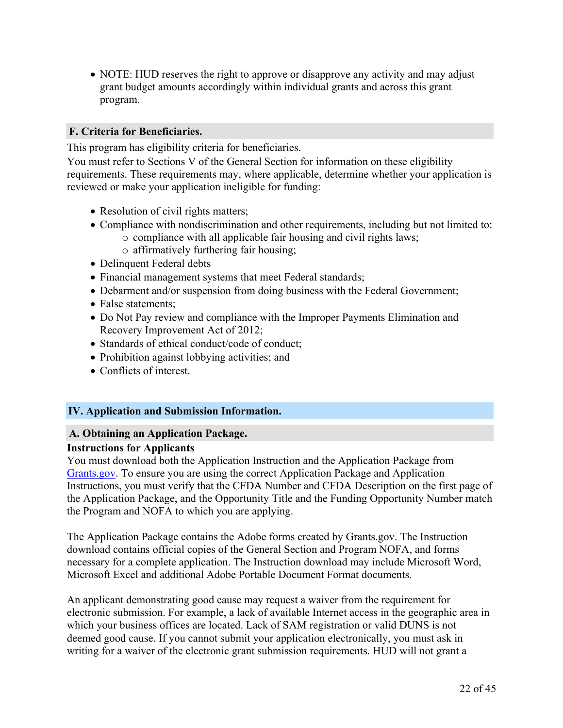NOTE: HUD reserves the right to approve or disapprove any activity and may adjust grant budget amounts accordingly within individual grants and across this grant program.

## **F. Criteria for Beneficiaries.**

This program has eligibility criteria for beneficiaries.

You must refer to Sections V of the General Section for information on these eligibility requirements. These requirements may, where applicable, determine whether your application is reviewed or make your application ineligible for funding:

- Resolution of civil rights matters;
- Compliance with nondiscrimination and other requirements, including but not limited to:
	- o compliance with all applicable fair housing and civil rights laws;
		- o affirmatively furthering fair housing;
- Delinquent Federal debts
- Financial management systems that meet Federal standards;
- Debarment and/or suspension from doing business with the Federal Government;
- False statements;
- Do Not Pay review and compliance with the Improper Payments Elimination and Recovery Improvement Act of 2012;
- Standards of ethical conduct/code of conduct;
- Prohibition against lobbying activities; and
- Conflicts of interest.

## <span id="page-23-0"></span>**IV. Application and Submission Information.**

#### **A. Obtaining an Application Package.**

#### **Instructions for Applicants**

You must download both the Application Instruction and the Application Package from [Grants.gov.](https://www.grants.gov/) To ensure you are using the correct Application Package and Application Instructions, you must verify that the CFDA Number and CFDA Description on the first page of the Application Package, and the Opportunity Title and the Funding Opportunity Number match the Program and NOFA to which you are applying.

The Application Package contains the Adobe forms created by Grants.gov. The Instruction download contains official copies of the General Section and Program NOFA, and forms necessary for a complete application. The Instruction download may include Microsoft Word, Microsoft Excel and additional Adobe Portable Document Format documents.

An applicant demonstrating good cause may request a waiver from the requirement for electronic submission. For example, a lack of available Internet access in the geographic area in which your business offices are located. Lack of SAM registration or valid DUNS is not deemed good cause. If you cannot submit your application electronically, you must ask in writing for a waiver of the electronic grant submission requirements. HUD will not grant a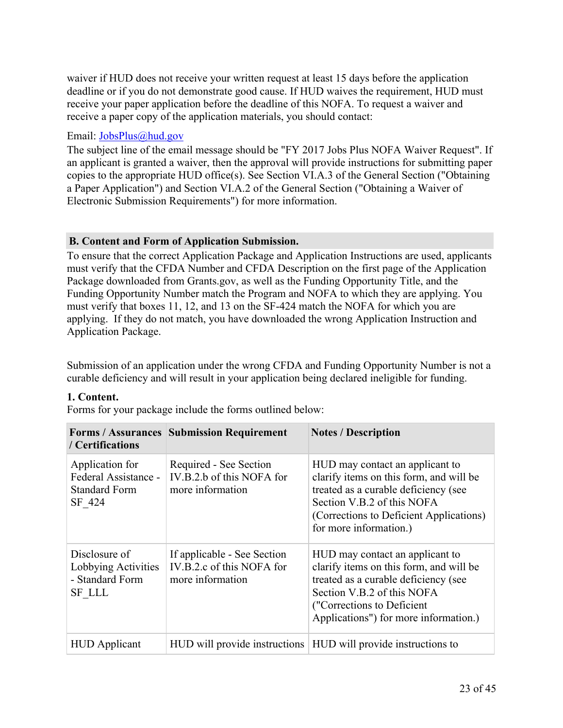waiver if HUD does not receive your written request at least 15 days before the application deadline or if you do not demonstrate good cause. If HUD waives the requirement, HUD must receive your paper application before the deadline of this NOFA. To request a waiver and receive a paper copy of the application materials, you should contact:

## Email: [JobsPlus@hud.gov](mailto:JobsPlus@hud.gov)

The subject line of the email message should be "FY 2017 Jobs Plus NOFA Waiver Request". If an applicant is granted a waiver, then the approval will provide instructions for submitting paper copies to the appropriate HUD office(s). See Section VI.A.3 of the General Section ("Obtaining a Paper Application") and Section VI.A.2 of the General Section ("Obtaining a Waiver of Electronic Submission Requirements") for more information.

## **B. Content and Form of Application Submission.**

To ensure that the correct Application Package and Application Instructions are used, applicants must verify that the CFDA Number and CFDA Description on the first page of the Application Package downloaded from Grants.gov, as well as the Funding Opportunity Title, and the Funding Opportunity Number match the Program and NOFA to which they are applying. You must verify that boxes 11, 12, and 13 on the SF-424 match the NOFA for which you are applying. If they do not match, you have downloaded the wrong Application Instruction and Application Package.

Submission of an application under the wrong CFDA and Funding Opportunity Number is not a curable deficiency and will result in your application being declared ineligible for funding.

## **1. Content.**

Forms for your package include the forms outlined below:

| / Certifications                                                          | <b>Forms / Assurances   Submission Requirement</b>                           | <b>Notes / Description</b>                                                                                                                                                                                               |
|---------------------------------------------------------------------------|------------------------------------------------------------------------------|--------------------------------------------------------------------------------------------------------------------------------------------------------------------------------------------------------------------------|
| Application for<br>Federal Assistance -<br><b>Standard Form</b><br>SF 424 | Required - See Section<br>IV.B.2.b of this NOFA for<br>more information      | HUD may contact an applicant to<br>clarify items on this form, and will be<br>treated as a curable deficiency (see<br>Section V.B.2 of this NOFA<br>(Corrections to Deficient Applications)<br>for more information.)    |
| Disclosure of<br>Lobbying Activities<br>- Standard Form<br><b>SF LLL</b>  | If applicable - See Section<br>IV.B.2.c of this NOFA for<br>more information | HUD may contact an applicant to<br>clarify items on this form, and will be<br>treated as a curable deficiency (see<br>Section V.B.2 of this NOFA<br>("Corrections to Deficient"<br>Applications") for more information.) |
| <b>HUD</b> Applicant                                                      |                                                                              | HUD will provide instructions HUD will provide instructions to                                                                                                                                                           |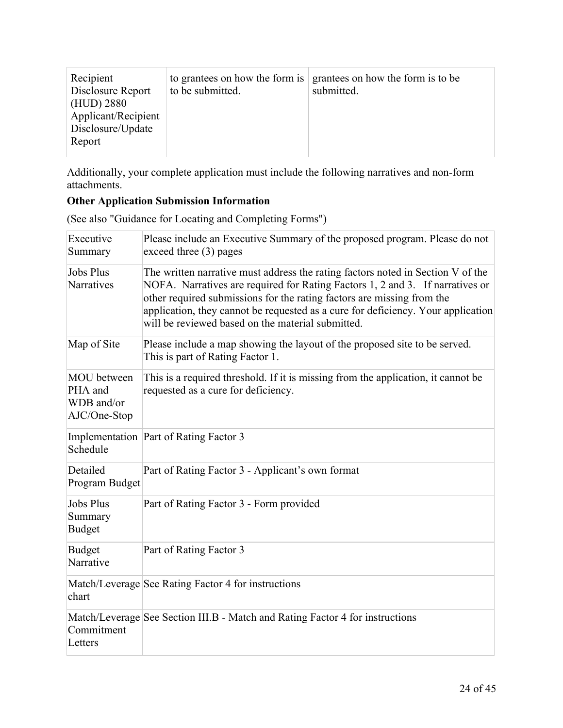| Recipient<br>Disclosure Report<br>(HUD) 2880<br>Applicant/Recipient<br>Disclosure/Update<br>Report | to grantees on how the form is<br>to be submitted. | grantees on how the form is to be<br>submitted. |
|----------------------------------------------------------------------------------------------------|----------------------------------------------------|-------------------------------------------------|
|----------------------------------------------------------------------------------------------------|----------------------------------------------------|-------------------------------------------------|

Additionally, your complete application must include the following narratives and non-form attachments.

# **Other Application Submission Information**

| Executive<br>Summary                                        | Please include an Executive Summary of the proposed program. Please do not<br>exceed three $(3)$ pages                                                                                                                                                                                                                                                                              |
|-------------------------------------------------------------|-------------------------------------------------------------------------------------------------------------------------------------------------------------------------------------------------------------------------------------------------------------------------------------------------------------------------------------------------------------------------------------|
| <b>Jobs Plus</b><br>Narratives                              | The written narrative must address the rating factors noted in Section V of the<br>NOFA. Narratives are required for Rating Factors 1, 2 and 3. If narratives or<br>other required submissions for the rating factors are missing from the<br>application, they cannot be requested as a cure for deficiency. Your application<br>will be reviewed based on the material submitted. |
| Map of Site                                                 | Please include a map showing the layout of the proposed site to be served.<br>This is part of Rating Factor 1.                                                                                                                                                                                                                                                                      |
| <b>MOU</b> between<br>PHA and<br>WDB and/or<br>AJC/One-Stop | This is a required threshold. If it is missing from the application, it cannot be<br>requested as a cure for deficiency.                                                                                                                                                                                                                                                            |
| Schedule                                                    | Implementation Part of Rating Factor 3                                                                                                                                                                                                                                                                                                                                              |
| Detailed<br>Program Budget                                  | Part of Rating Factor 3 - Applicant's own format                                                                                                                                                                                                                                                                                                                                    |
| <b>Jobs Plus</b><br>Summary<br><b>Budget</b>                | Part of Rating Factor 3 - Form provided                                                                                                                                                                                                                                                                                                                                             |
| <b>Budget</b><br>Narrative                                  | Part of Rating Factor 3                                                                                                                                                                                                                                                                                                                                                             |
| chart                                                       | Match/Leverage See Rating Factor 4 for instructions                                                                                                                                                                                                                                                                                                                                 |
| Commitment<br>Letters                                       | Match/Leverage See Section III.B - Match and Rating Factor 4 for instructions                                                                                                                                                                                                                                                                                                       |
|                                                             |                                                                                                                                                                                                                                                                                                                                                                                     |

(See also "Guidance for Locating and Completing Forms")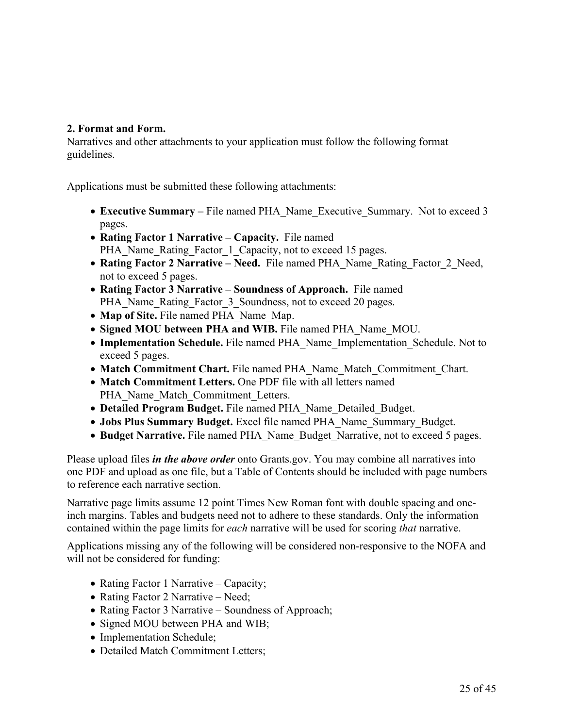## **2. Format and Form.**

Narratives and other attachments to your application must follow the following format guidelines.

Applications must be submitted these following attachments:

- **Executive Summary –** File named PHA\_Name\_Executive\_Summary. Not to exceed 3 pages.
- **Rating Factor 1 Narrative – Capacity.** File named PHA\_Name\_Rating\_Factor\_1\_Capacity, not to exceed 15 pages.
- **Rating Factor 2 Narrative – Need.** File named PHA\_Name\_Rating\_Factor\_2\_Need, not to exceed 5 pages.
- **Rating Factor 3 Narrative – Soundness of Approach.** File named PHA\_Name\_Rating\_Factor\_3\_Soundness, not to exceed 20 pages.
- **Map of Site.** File named PHA\_Name\_Map.
- **Signed MOU between PHA and WIB.** File named PHA\_Name\_MOU.
- **Implementation Schedule.** File named PHA\_Name\_Implementation\_Schedule. Not to exceed 5 pages.
- **Match Commitment Chart.** File named PHA\_Name\_Match\_Commitment\_Chart.
- **Match Commitment Letters.** One PDF file with all letters named PHA\_Name\_Match\_Commitment\_Letters.
- **Detailed Program Budget.** File named PHA\_Name\_Detailed\_Budget.
- **Jobs Plus Summary Budget.** Excel file named PHA\_Name\_Summary\_Budget.
- **Budget Narrative.** File named PHA\_Name\_Budget\_Narrative, not to exceed 5 pages.

Please upload files *in the above order* onto Grants.gov. You may combine all narratives into one PDF and upload as one file, but a Table of Contents should be included with page numbers to reference each narrative section.

Narrative page limits assume 12 point Times New Roman font with double spacing and oneinch margins. Tables and budgets need not to adhere to these standards. Only the information contained within the page limits for *each* narrative will be used for scoring *that* narrative.

Applications missing any of the following will be considered non-responsive to the NOFA and will not be considered for funding:

- Rating Factor 1 Narrative Capacity;
- Rating Factor 2 Narrative Need;
- Rating Factor 3 Narrative Soundness of Approach;
- Signed MOU between PHA and WIB;
- Implementation Schedule;
- Detailed Match Commitment Letters;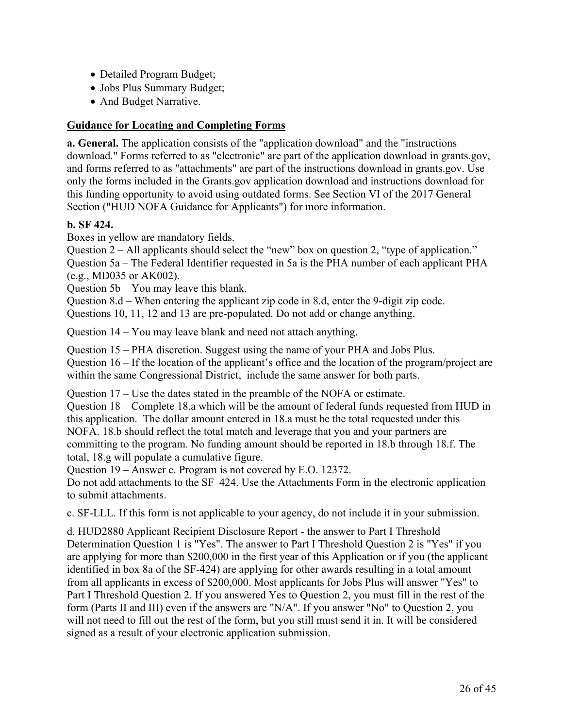- Detailed Program Budget;
- Jobs Plus Summary Budget;
- And Budget Narrative.

## **Guidance for Locating and Completing Forms**

**a. General.** The application consists of the "application download" and the "instructions download." Forms referred to as "electronic" are part of the application download in grants.gov, and forms referred to as "attachments" are part of the instructions download in grants.gov. Use only the forms included in the Grants.gov application download and instructions download for this funding opportunity to avoid using outdated forms. See Section VI of the 2017 General Section ("HUD NOFA Guidance for Applicants") for more information.

## **b. SF 424.**

Boxes in yellow are mandatory fields.

Question 2 – All applicants should select the "new" box on question 2, "type of application." Question 5a – The Federal Identifier requested in 5a is the PHA number of each applicant PHA (e.g., MD035 or AK002).

Question 5b – You may leave this blank.

Question 8.d – When entering the applicant zip code in 8.d, enter the 9-digit zip code.

Questions 10, 11, 12 and 13 are pre-populated. Do not add or change anything.

Question 14 – You may leave blank and need not attach anything.

Question 15 – PHA discretion. Suggest using the name of your PHA and Jobs Plus.

Question 16 – If the location of the applicant's office and the location of the program/project are within the same Congressional District, include the same answer for both parts.

Question 17 – Use the dates stated in the preamble of the NOFA or estimate.

Question 18 – Complete 18.a which will be the amount of federal funds requested from HUD in this application. The dollar amount entered in 18.a must be the total requested under this NOFA. 18.b should reflect the total match and leverage that you and your partners are committing to the program. No funding amount should be reported in 18.b through 18.f. The total, 18.g will populate a cumulative figure.

Question 19 – Answer c. Program is not covered by E.O. 12372.

Do not add attachments to the SF\_424. Use the Attachments Form in the electronic application to submit attachments.

c. SF-LLL. If this form is not applicable to your agency, do not include it in your submission.

d. HUD2880 Applicant Recipient Disclosure Report - the answer to Part I Threshold Determination Question 1 is "Yes". The answer to Part I Threshold Question 2 is "Yes" if you are applying for more than \$200,000 in the first year of this Application or if you (the applicant identified in box 8a of the SF-424) are applying for other awards resulting in a total amount from all applicants in excess of \$200,000. Most applicants for Jobs Plus will answer "Yes" to Part I Threshold Question 2. If you answered Yes to Question 2, you must fill in the rest of the form (Parts II and III) even if the answers are "N/A". If you answer "No" to Question 2, you will not need to fill out the rest of the form, but you still must send it in. It will be considered signed as a result of your electronic application submission.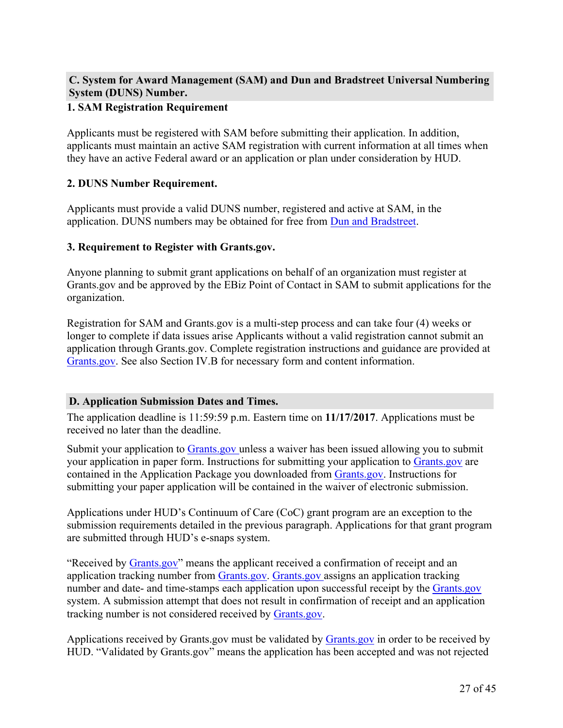## **C. System for Award Management (SAM) and Dun and Bradstreet Universal Numbering System (DUNS) Number.**

## **1. SAM Registration Requirement**

Applicants must be registered with SAM before submitting their application. In addition, applicants must maintain an active SAM registration with current information at all times when they have an active Federal award or an application or plan under consideration by HUD.

## **2. DUNS Number Requirement.**

Applicants must provide a valid DUNS number, registered and active at SAM, in the application. DUNS numbers may be obtained for free from Dun and [Bradstreet.](https://fedgov.dnb.com/webform)

## **3. Requirement to Register with Grants.gov.**

Anyone planning to submit grant applications on behalf of an organization must register at Grants.gov and be approved by the EBiz Point of Contact in SAM to submit applications for the organization.

Registration for SAM and Grants.gov is a multi-step process and can take four (4) weeks or longer to complete if data issues arise Applicants without a valid registration cannot submit an application through Grants.gov. Complete registration instructions and guidance are provided at [Grants.gov.](https://www.grants.gov/) See also Section IV.B for necessary form and content information.

## **D. Application Submission Dates and Times.**

The application deadline is 11:59:59 p.m. Eastern time on **11/17/2017**. Applications must be received no later than the deadline.

Submit your application to [Grants.gov](https://grants.gov/) unless a waiver has been issued allowing you to submit your application in paper form. Instructions for submitting your application to [Grants.gov](https://grants.gov/) are contained in the Application Package you downloaded from [Grants.gov.](https://grants.gov/) Instructions for submitting your paper application will be contained in the waiver of electronic submission.

Applications under HUD's Continuum of Care (CoC) grant program are an exception to the submission requirements detailed in the previous paragraph. Applications for that grant program are submitted through HUD's e-snaps system.

"Received by [Grants.gov"](https://grants.gov/) means the applicant received a confirmation of receipt and an application tracking number from [Grants.gov](https://grants.gov/). [Grants.gov](https://grants.gov/) assigns an application tracking number and date- and time-stamps each application upon successful receipt by the [Grants.gov](https://grants.gov/) system. A submission attempt that does not result in confirmation of receipt and an application tracking number is not considered received by [Grants.gov.](https://grants.gov/)

Applications received by Grants.gov must be validated by [Grants.gov](https://grants.gov/) in order to be received by HUD. "Validated by Grants.gov" means the application has been accepted and was not rejected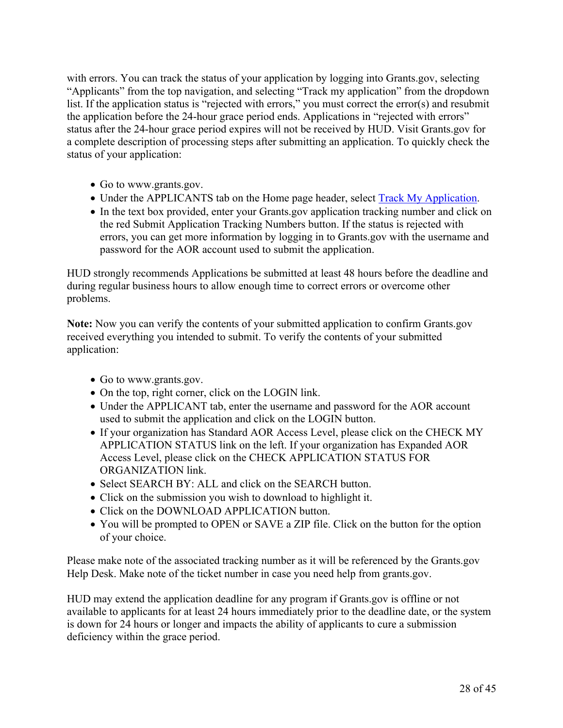with errors. You can track the status of your application by logging into Grants.gov, selecting "Applicants" from the top navigation, and selecting "Track my application" from the dropdown list. If the application status is "rejected with errors," you must correct the error(s) and resubmit the application before the 24-hour grace period ends. Applications in "rejected with errors" status after the 24-hour grace period expires will not be received by HUD. Visit Grants.gov for a complete description of processing steps after submitting an application. To quickly check the status of your application:

- Go to www.grants.gov.
- Under the APPLICANTS tab on the Home page header, select Track My [Application.](https://www.grants.gov/web/grants/applicants/track-my-application.html)
- In the text box provided, enter your Grants.gov application tracking number and click on the red Submit Application Tracking Numbers button. If the status is rejected with errors, you can get more information by logging in to Grants.gov with the username and password for the AOR account used to submit the application.

HUD strongly recommends Applications be submitted at least 48 hours before the deadline and during regular business hours to allow enough time to correct errors or overcome other problems.

**Note:** Now you can verify the contents of your submitted application to confirm Grants.gov received everything you intended to submit. To verify the contents of your submitted application:

- Go to www.grants.gov.
- On the top, right corner, click on the LOGIN link.
- Under the APPLICANT tab, enter the username and password for the AOR account used to submit the application and click on the LOGIN button.
- If your organization has Standard AOR Access Level, please click on the CHECK MY APPLICATION STATUS link on the left. If your organization has Expanded AOR Access Level, please click on the CHECK APPLICATION STATUS FOR ORGANIZATION link.
- Select SEARCH BY: ALL and click on the SEARCH button.
- Click on the submission you wish to download to highlight it.
- Click on the DOWNLOAD APPLICATION button.
- You will be prompted to OPEN or SAVE a ZIP file. Click on the button for the option of your choice.

Please make note of the associated tracking number as it will be referenced by the Grants.gov Help Desk. Make note of the ticket number in case you need help from grants.gov.

HUD may extend the application deadline for any program if Grants.gov is offline or not available to applicants for at least 24 hours immediately prior to the deadline date, or the system is down for 24 hours or longer and impacts the ability of applicants to cure a submission deficiency within the grace period.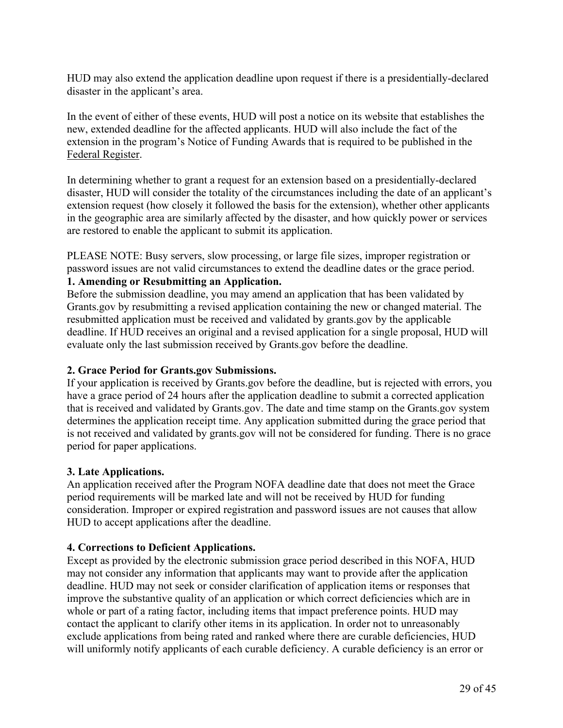HUD may also extend the application deadline upon request if there is a presidentially-declared disaster in the applicant's area.

In the event of either of these events, HUD will post a notice on its website that establishes the new, extended deadline for the affected applicants. HUD will also include the fact of the extension in the program's Notice of Funding Awards that is required to be published in the Federal Register.

In determining whether to grant a request for an extension based on a presidentially-declared disaster, HUD will consider the totality of the circumstances including the date of an applicant's extension request (how closely it followed the basis for the extension), whether other applicants in the geographic area are similarly affected by the disaster, and how quickly power or services are restored to enable the applicant to submit its application.

PLEASE NOTE: Busy servers, slow processing, or large file sizes, improper registration or password issues are not valid circumstances to extend the deadline dates or the grace period.

# **1. Amending or Resubmitting an Application.**

Before the submission deadline, you may amend an application that has been validated by Grants.gov by resubmitting a revised application containing the new or changed material. The resubmitted application must be received and validated by grants.gov by the applicable deadline. If HUD receives an original and a revised application for a single proposal, HUD will evaluate only the last submission received by Grants.gov before the deadline.

#### **2. Grace Period for Grants.gov Submissions.**

If your application is received by Grants.gov before the deadline, but is rejected with errors, you have a grace period of 24 hours after the application deadline to submit a corrected application that is received and validated by Grants.gov. The date and time stamp on the Grants.gov system determines the application receipt time. Any application submitted during the grace period that is not received and validated by grants.gov will not be considered for funding. There is no grace period for paper applications.

#### **3. Late Applications.**

An application received after the Program NOFA deadline date that does not meet the Grace period requirements will be marked late and will not be received by HUD for funding consideration. Improper or expired registration and password issues are not causes that allow HUD to accept applications after the deadline.

## **4. Corrections to Deficient Applications.**

Except as provided by the electronic submission grace period described in this NOFA, HUD may not consider any information that applicants may want to provide after the application deadline. HUD may not seek or consider clarification of application items or responses that improve the substantive quality of an application or which correct deficiencies which are in whole or part of a rating factor, including items that impact preference points. HUD may contact the applicant to clarify other items in its application. In order not to unreasonably exclude applications from being rated and ranked where there are curable deficiencies, HUD will uniformly notify applicants of each curable deficiency. A curable deficiency is an error or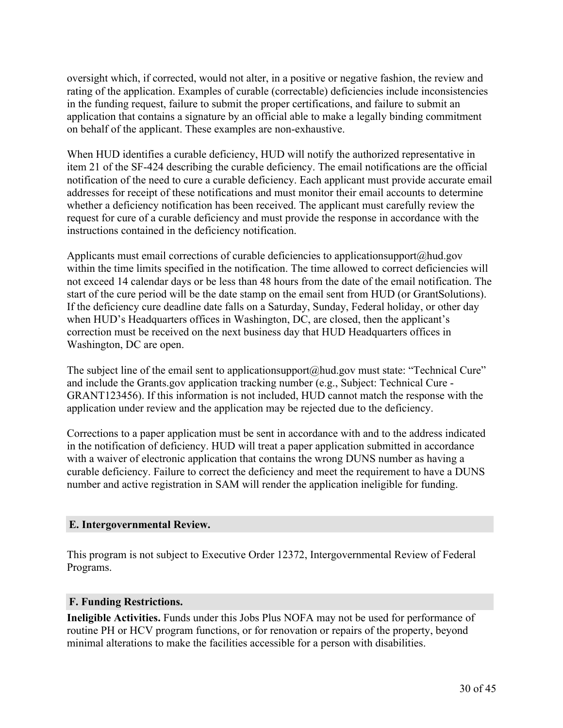oversight which, if corrected, would not alter, in a positive or negative fashion, the review and rating of the application. Examples of curable (correctable) deficiencies include inconsistencies in the funding request, failure to submit the proper certifications, and failure to submit an application that contains a signature by an official able to make a legally binding commitment on behalf of the applicant. These examples are non-exhaustive.

When HUD identifies a curable deficiency, HUD will notify the authorized representative in item 21 of the SF-424 describing the curable deficiency. The email notifications are the official notification of the need to cure a curable deficiency. Each applicant must provide accurate email addresses for receipt of these notifications and must monitor their email accounts to determine whether a deficiency notification has been received. The applicant must carefully review the request for cure of a curable deficiency and must provide the response in accordance with the instructions contained in the deficiency notification.

Applicants must email corrections of curable deficiencies to applicationsupport@hud.gov within the time limits specified in the notification. The time allowed to correct deficiencies will not exceed 14 calendar days or be less than 48 hours from the date of the email notification. The start of the cure period will be the date stamp on the email sent from HUD (or GrantSolutions). If the deficiency cure deadline date falls on a Saturday, Sunday, Federal holiday, or other day when HUD's Headquarters offices in Washington, DC, are closed, then the applicant's correction must be received on the next business day that HUD Headquarters offices in Washington, DC are open.

The subject line of the email sent to applicationsupport@hud.gov must state: "Technical Cure" and include the Grants.gov application tracking number (e.g., Subject: Technical Cure - GRANT123456). If this information is not included, HUD cannot match the response with the application under review and the application may be rejected due to the deficiency.

Corrections to a paper application must be sent in accordance with and to the address indicated in the notification of deficiency. HUD will treat a paper application submitted in accordance with a waiver of electronic application that contains the wrong DUNS number as having a curable deficiency. Failure to correct the deficiency and meet the requirement to have a DUNS number and active registration in SAM will render the application ineligible for funding.

## **E. Intergovernmental Review.**

This program is not subject to Executive Order 12372, Intergovernmental Review of Federal Programs.

#### **F. Funding Restrictions.**

**Ineligible Activities.** Funds under this Jobs Plus NOFA may not be used for performance of routine PH or HCV program functions, or for renovation or repairs of the property, beyond minimal alterations to make the facilities accessible for a person with disabilities.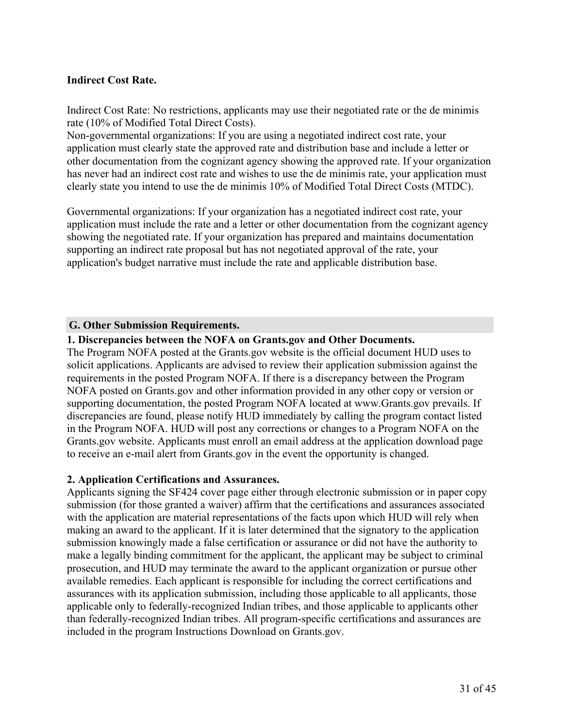## **Indirect Cost Rate.**

Indirect Cost Rate: No restrictions, applicants may use their negotiated rate or the de minimis rate (10% of Modified Total Direct Costs).

Non-governmental organizations: If you are using a negotiated indirect cost rate, your application must clearly state the approved rate and distribution base and include a letter or other documentation from the cognizant agency showing the approved rate. If your organization has never had an indirect cost rate and wishes to use the de minimis rate, your application must clearly state you intend to use the de minimis 10% of Modified Total Direct Costs (MTDC).

Governmental organizations: If your organization has a negotiated indirect cost rate, your application must include the rate and a letter or other documentation from the cognizant agency showing the negotiated rate. If your organization has prepared and maintains documentation supporting an indirect rate proposal but has not negotiated approval of the rate, your application's budget narrative must include the rate and applicable distribution base.

#### **G. Other Submission Requirements.**

## **1. Discrepancies between the NOFA on Grants.gov and Other Documents.**

The Program NOFA posted at the Grants.gov website is the official document HUD uses to solicit applications. Applicants are advised to review their application submission against the requirements in the posted Program NOFA. If there is a discrepancy between the Program NOFA posted on Grants.gov and other information provided in any other copy or version or supporting documentation, the posted Program NOFA located at www.Grants.gov prevails. If discrepancies are found, please notify HUD immediately by calling the program contact listed in the Program NOFA. HUD will post any corrections or changes to a Program NOFA on the Grants.gov website. Applicants must enroll an email address at the application download page to receive an e-mail alert from Grants.gov in the event the opportunity is changed.

#### **2. Application Certifications and Assurances.**

Applicants signing the SF424 cover page either through electronic submission or in paper copy submission (for those granted a waiver) affirm that the certifications and assurances associated with the application are material representations of the facts upon which HUD will rely when making an award to the applicant. If it is later determined that the signatory to the application submission knowingly made a false certification or assurance or did not have the authority to make a legally binding commitment for the applicant, the applicant may be subject to criminal prosecution, and HUD may terminate the award to the applicant organization or pursue other available remedies. Each applicant is responsible for including the correct certifications and assurances with its application submission, including those applicable to all applicants, those applicable only to federally-recognized Indian tribes, and those applicable to applicants other than federally-recognized Indian tribes. All program-specific certifications and assurances are included in the program Instructions Download on Grants.gov.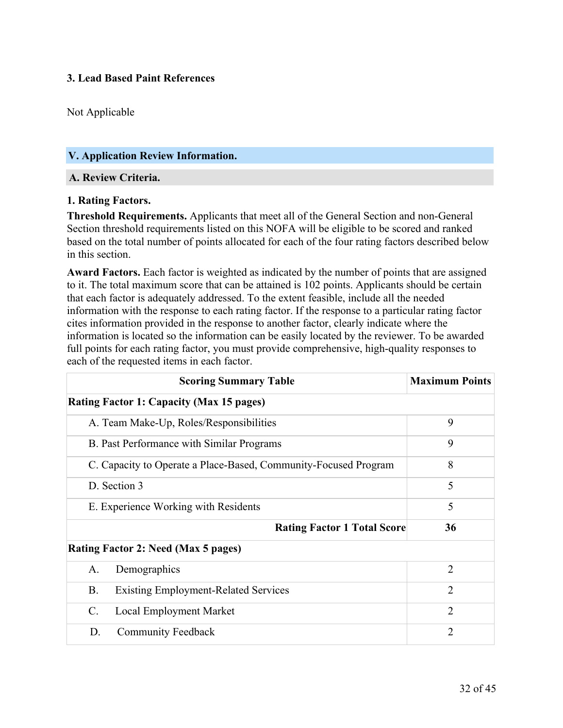## **3. Lead Based Paint References**

Not Applicable

## <span id="page-33-0"></span>**V. Application Review Information.**

## **A. Review Criteria.**

#### **1. Rating Factors.**

**Threshold Requirements.** Applicants that meet all of the General Section and non-General Section threshold requirements listed on this NOFA will be eligible to be scored and ranked based on the total number of points allocated for each of the four rating factors described below in this section.

**Award Factors.** Each factor is weighted as indicated by the number of points that are assigned to it. The total maximum score that can be attained is 102 points. Applicants should be certain that each factor is adequately addressed. To the extent feasible, include all the needed information with the response to each rating factor. If the response to a particular rating factor cites information provided in the response to another factor, clearly indicate where the information is located so the information can be easily located by the reviewer. To be awarded full points for each rating factor, you must provide comprehensive, high-quality responses to each of the requested items in each factor.

| <b>Scoring Summary Table</b>                                    | <b>Maximum Points</b> |
|-----------------------------------------------------------------|-----------------------|
| <b>Rating Factor 1: Capacity (Max 15 pages)</b>                 |                       |
| A. Team Make-Up, Roles/Responsibilities                         | 9                     |
| B. Past Performance with Similar Programs                       | 9                     |
| C. Capacity to Operate a Place-Based, Community-Focused Program | 8                     |
| D. Section 3                                                    | 5                     |
| E. Experience Working with Residents                            | 5                     |
| <b>Rating Factor 1 Total Score</b>                              | 36                    |
| Rating Factor 2: Need (Max 5 pages)                             |                       |
| A.<br>Demographics                                              | $\overline{2}$        |
| <b>B.</b><br><b>Existing Employment-Related Services</b>        | $\overline{2}$        |
| <b>Local Employment Market</b><br>C.                            | $\overline{2}$        |
| <b>Community Feedback</b><br>D.                                 | $\mathfrak{D}$        |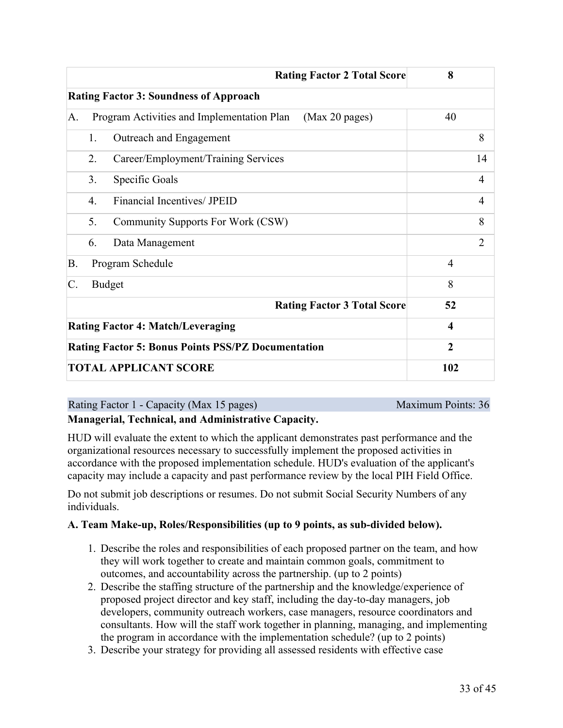|    | <b>Rating Factor 2 Total Score</b>                           | 8              |  |  |
|----|--------------------------------------------------------------|----------------|--|--|
|    | <b>Rating Factor 3: Soundness of Approach</b>                |                |  |  |
| A. | Program Activities and Implementation Plan<br>(Max 20 pages) | 40             |  |  |
|    | Outreach and Engagement<br>1.                                | 8              |  |  |
|    | Career/Employment/Training Services<br>2.                    | 14             |  |  |
|    | 3.<br>Specific Goals                                         | 4              |  |  |
|    | Financial Incentives/ JPEID<br>$\overline{4}$ .              | 4              |  |  |
|    | 5.<br>Community Supports For Work (CSW)                      | 8              |  |  |
|    | Data Management<br>6.                                        | $\overline{2}$ |  |  |
| B. | Program Schedule                                             | $\overline{4}$ |  |  |
| C. | <b>Budget</b>                                                | 8              |  |  |
|    | <b>Rating Factor 3 Total Score</b>                           | 52             |  |  |
|    | <b>Rating Factor 4: Match/Leveraging</b>                     | 4              |  |  |
|    | <b>Rating Factor 5: Bonus Points PSS/PZ Documentation</b>    | $\overline{2}$ |  |  |
|    | <b>TOTAL APPLICANT SCORE</b>                                 | 102            |  |  |

| Rating Factor 1 - Capacity (Max 15 pages) | Maximum Points: 36 |
|-------------------------------------------|--------------------|
|                                           |                    |

**Managerial, Technical, and Administrative Capacity.**

HUD will evaluate the extent to which the applicant demonstrates past performance and the organizational resources necessary to successfully implement the proposed activities in accordance with the proposed implementation schedule. HUD's evaluation of the applicant's capacity may include a capacity and past performance review by the local PIH Field Office.

Do not submit job descriptions or resumes. Do not submit Social Security Numbers of any individuals.

## **A. Team Make-up, Roles/Responsibilities (up to 9 points, as sub-divided below).**

- 1. Describe the roles and responsibilities of each proposed partner on the team, and how they will work together to create and maintain common goals, commitment to outcomes, and accountability across the partnership. (up to 2 points)
- 2. Describe the staffing structure of the partnership and the knowledge/experience of proposed project director and key staff, including the day-to-day managers, job developers, community outreach workers, case managers, resource coordinators and consultants. How will the staff work together in planning, managing, and implementing the program in accordance with the implementation schedule? (up to 2 points)
- 3. Describe your strategy for providing all assessed residents with effective case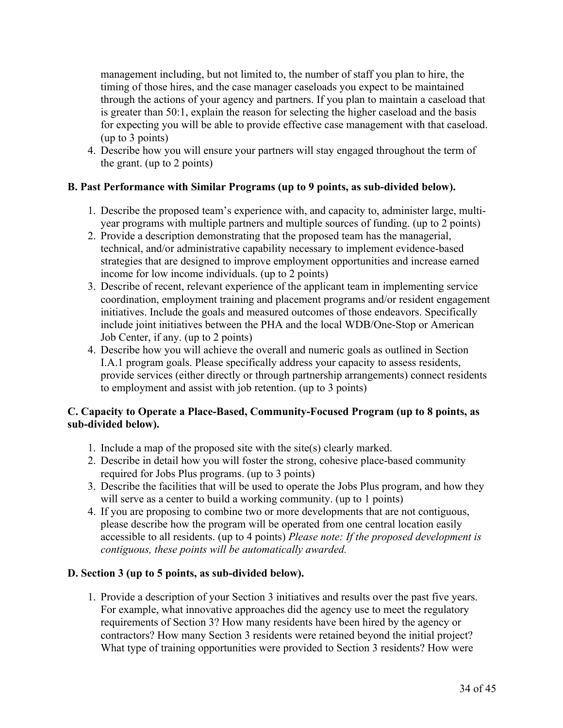management including, but not limited to, the number of staff you plan to hire, the timing of those hires, and the case manager caseloads you expect to be maintained through the actions of your agency and partners. If you plan to maintain a caseload that is greater than 50:1, explain the reason for selecting the higher caseload and the basis for expecting you will be able to provide effective case management with that caseload. (up to 3 points)

4. Describe how you will ensure your partners will stay engaged throughout the term of the grant. (up to 2 points)

## **B. Past Performance with Similar Programs (up to 9 points, as sub-divided below).**

- 1. Describe the proposed team's experience with, and capacity to, administer large, multiyear programs with multiple partners and multiple sources of funding. (up to 2 points)
- 2. Provide a description demonstrating that the proposed team has the managerial, technical, and/or administrative capability necessary to implement evidence-based strategies that are designed to improve employment opportunities and increase earned income for low income individuals. (up to 2 points)
- 3. Describe of recent, relevant experience of the applicant team in implementing service coordination, employment training and placement programs and/or resident engagement initiatives. Include the goals and measured outcomes of those endeavors. Specifically include joint initiatives between the PHA and the local WDB/One-Stop or American Job Center, if any. (up to 2 points)
- 4. Describe how you will achieve the overall and numeric goals as outlined in Section I.A.1 program goals. Please specifically address your capacity to assess residents, provide services (either directly or through partnership arrangements) connect residents to employment and assist with job retention. (up to 3 points)

## **C. Capacity to Operate a Place-Based, Community-Focused Program (up to 8 points, as sub-divided below).**

- 1. Include a map of the proposed site with the site(s) clearly marked.
- 2. Describe in detail how you will foster the strong, cohesive place-based community required for Jobs Plus programs. (up to 3 points)
- 3. Describe the facilities that will be used to operate the Jobs Plus program, and how they will serve as a center to build a working community. (up to 1 points)
- 4. If you are proposing to combine two or more developments that are not contiguous, please describe how the program will be operated from one central location easily accessible to all residents. (up to 4 points) *Please note: If the proposed development is contiguous, these points will be automatically awarded.*

## **D. Section 3 (up to 5 points, as sub-divided below).**

1. Provide a description of your Section 3 initiatives and results over the past five years. For example, what innovative approaches did the agency use to meet the regulatory requirements of Section 3? How many residents have been hired by the agency or contractors? How many Section 3 residents were retained beyond the initial project? What type of training opportunities were provided to Section 3 residents? How were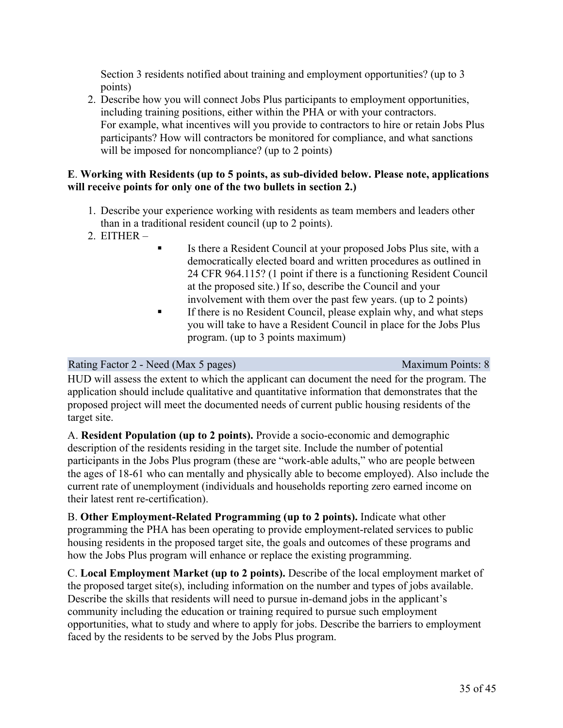Section 3 residents notified about training and employment opportunities? (up to 3 points)

2. Describe how you will connect Jobs Plus participants to employment opportunities, including training positions, either within the PHA or with your contractors. For example, what incentives will you provide to contractors to hire or retain Jobs Plus participants? How will contractors be monitored for compliance, and what sanctions will be imposed for noncompliance? (up to 2 points)

#### **E**. **Working with Residents (up to 5 points, as sub-divided below. Please note, applications will receive points for only one of the two bullets in section 2.)**

- 1. Describe your experience working with residents as team members and leaders other than in a traditional resident council (up to 2 points).
- 2. EITHER –
- Is there a Resident Council at your proposed Jobs Plus site, with a democratically elected board and written procedures as outlined in 24 CFR 964.115? (1 point if there is a functioning Resident Council at the proposed site.) If so, describe the Council and your involvement with them over the past few years. (up to 2 points)
- If there is no Resident Council, please explain why, and what steps you will take to have a Resident Council in place for the Jobs Plus program. (up to 3 points maximum)

#### Rating Factor 2 - Need (Max 5 pages) Maximum Points: 8

HUD will assess the extent to which the applicant can document the need for the program. The application should include qualitative and quantitative information that demonstrates that the proposed project will meet the documented needs of current public housing residents of the target site.

A. **Resident Population (up to 2 points).** Provide a socio-economic and demographic description of the residents residing in the target site. Include the number of potential participants in the Jobs Plus program (these are "work-able adults," who are people between the ages of 18-61 who can mentally and physically able to become employed). Also include the current rate of unemployment (individuals and households reporting zero earned income on their latest rent re-certification).

B. **Other Employment-Related Programming (up to 2 points).** Indicate what other programming the PHA has been operating to provide employment-related services to public housing residents in the proposed target site, the goals and outcomes of these programs and how the Jobs Plus program will enhance or replace the existing programming.

C. **Local Employment Market (up to 2 points).** Describe of the local employment market of the proposed target site(s), including information on the number and types of jobs available. Describe the skills that residents will need to pursue in-demand jobs in the applicant's community including the education or training required to pursue such employment opportunities, what to study and where to apply for jobs. Describe the barriers to employment faced by the residents to be served by the Jobs Plus program.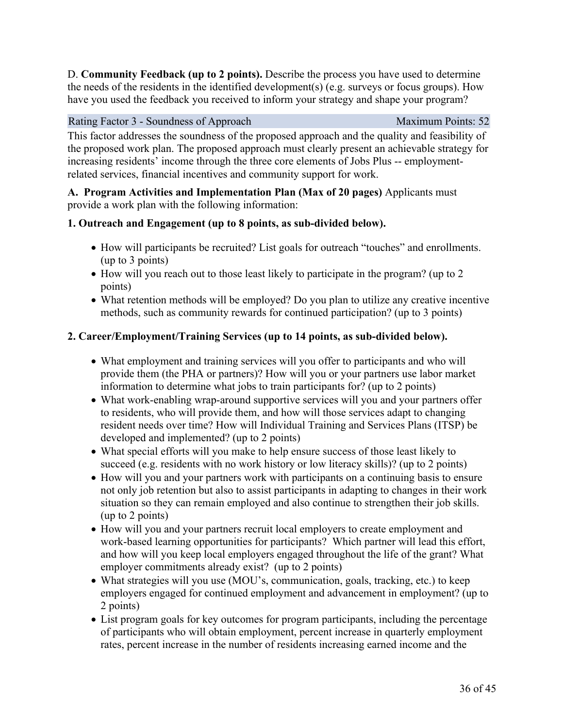D. **Community Feedback (up to 2 points).** Describe the process you have used to determine the needs of the residents in the identified development(s) (e.g. surveys or focus groups). How have you used the feedback you received to inform your strategy and shape your program?

#### Rating Factor 3 - Soundness of Approach Maximum Points: 52

This factor addresses the soundness of the proposed approach and the quality and feasibility of the proposed work plan. The proposed approach must clearly present an achievable strategy for increasing residents' income through the three core elements of Jobs Plus -- employmentrelated services, financial incentives and community support for work.

**A. Program Activities and Implementation Plan (Max of 20 pages)** Applicants must provide a work plan with the following information:

## **1. Outreach and Engagement (up to 8 points, as sub-divided below).**

- How will participants be recruited? List goals for outreach "touches" and enrollments. (up to 3 points)
- How will you reach out to those least likely to participate in the program? (up to 2 points)
- What retention methods will be employed? Do you plan to utilize any creative incentive methods, such as community rewards for continued participation? (up to 3 points)

## **2. Career/Employment/Training Services (up to 14 points, as sub-divided below).**

- What employment and training services will you offer to participants and who will provide them (the PHA or partners)? How will you or your partners use labor market information to determine what jobs to train participants for? (up to 2 points)
- What work-enabling wrap-around supportive services will you and your partners offer to residents, who will provide them, and how will those services adapt to changing resident needs over time? How will Individual Training and Services Plans (ITSP) be developed and implemented? (up to 2 points)
- What special efforts will you make to help ensure success of those least likely to succeed (e.g. residents with no work history or low literacy skills)? (up to 2 points)
- How will you and your partners work with participants on a continuing basis to ensure not only job retention but also to assist participants in adapting to changes in their work situation so they can remain employed and also continue to strengthen their job skills. (up to 2 points)
- How will you and your partners recruit local employers to create employment and work-based learning opportunities for participants? Which partner will lead this effort, and how will you keep local employers engaged throughout the life of the grant? What employer commitments already exist? (up to 2 points)
- What strategies will you use (MOU's, communication, goals, tracking, etc.) to keep employers engaged for continued employment and advancement in employment? (up to 2 points)
- List program goals for key outcomes for program participants, including the percentage of participants who will obtain employment, percent increase in quarterly employment rates, percent increase in the number of residents increasing earned income and the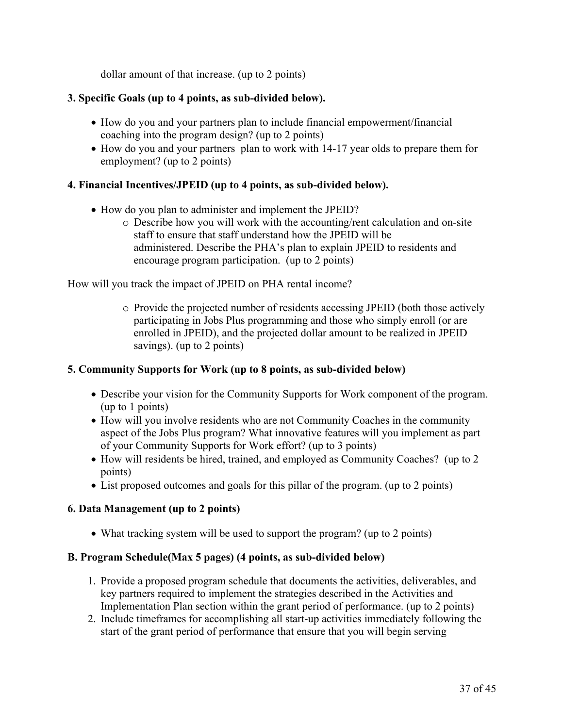dollar amount of that increase. (up to 2 points)

## **3. Specific Goals (up to 4 points, as sub-divided below).**

- How do you and your partners plan to include financial empowerment/financial coaching into the program design? (up to 2 points)
- How do you and your partners plan to work with 14-17 year olds to prepare them for employment? (up to 2 points)

## **4. Financial Incentives/JPEID (up to 4 points, as sub-divided below).**

- How do you plan to administer and implement the JPEID?
	- o Describe how you will work with the accounting/rent calculation and on-site staff to ensure that staff understand how the JPEID will be administered. Describe the PHA's plan to explain JPEID to residents and encourage program participation. (up to 2 points)

How will you track the impact of JPEID on PHA rental income?

o Provide the projected number of residents accessing JPEID (both those actively participating in Jobs Plus programming and those who simply enroll (or are enrolled in JPEID), and the projected dollar amount to be realized in JPEID savings). (up to 2 points)

#### **5. Community Supports for Work (up to 8 points, as sub-divided below)**

- Describe your vision for the Community Supports for Work component of the program. (up to 1 points)
- How will you involve residents who are not Community Coaches in the community aspect of the Jobs Plus program? What innovative features will you implement as part of your Community Supports for Work effort? (up to 3 points)
- How will residents be hired, trained, and employed as Community Coaches? (up to 2) points)
- List proposed outcomes and goals for this pillar of the program. (up to 2 points)

## **6. Data Management (up to 2 points)**

• What tracking system will be used to support the program? (up to 2 points)

#### **B. Program Schedule(Max 5 pages) (4 points, as sub-divided below)**

- 1. Provide a proposed program schedule that documents the activities, deliverables, and key partners required to implement the strategies described in the Activities and Implementation Plan section within the grant period of performance. (up to 2 points)
- 2. Include timeframes for accomplishing all start-up activities immediately following the start of the grant period of performance that ensure that you will begin serving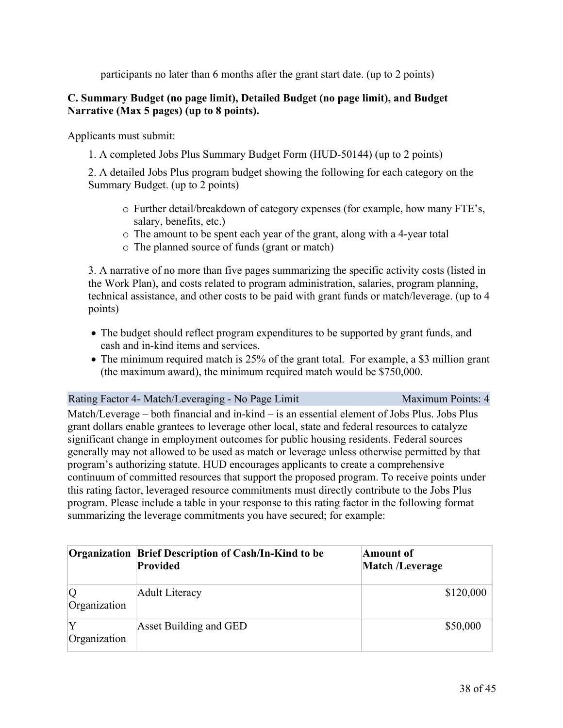participants no later than 6 months after the grant start date. (up to 2 points)

## **C. Summary Budget (no page limit), Detailed Budget (no page limit), and Budget Narrative (Max 5 pages) (up to 8 points).**

Applicants must submit:

1. A completed Jobs Plus Summary Budget Form (HUD-50144) (up to 2 points)

2. A detailed Jobs Plus program budget showing the following for each category on the Summary Budget. (up to 2 points)

- o Further detail/breakdown of category expenses (for example, how many FTE's, salary, benefits, etc.)
- o The amount to be spent each year of the grant, along with a 4-year total
- o The planned source of funds (grant or match)

3. A narrative of no more than five pages summarizing the specific activity costs (listed in the Work Plan), and costs related to program administration, salaries, program planning, technical assistance, and other costs to be paid with grant funds or match/leverage. (up to 4 points)

- The budget should reflect program expenditures to be supported by grant funds, and cash and in-kind items and services.
- The minimum required match is 25% of the grant total. For example, a \$3 million grant (the maximum award), the minimum required match would be \$750,000.

#### Rating Factor 4- Match/Leveraging - No Page Limit Maximum Points: 4

Match/Leverage – both financial and in-kind – is an essential element of Jobs Plus. Jobs Plus grant dollars enable grantees to leverage other local, state and federal resources to catalyze significant change in employment outcomes for public housing residents. Federal sources generally may not allowed to be used as match or leverage unless otherwise permitted by that program's authorizing statute. HUD encourages applicants to create a comprehensive continuum of committed resources that support the proposed program. To receive points under this rating factor, leveraged resource commitments must directly contribute to the Jobs Plus program. Please include a table in your response to this rating factor in the following format summarizing the leverage commitments you have secured; for example:

|                    | <b>Organization Brief Description of Cash/In-Kind to be</b><br><b>Provided</b> | Amount of<br><b>Match /Leverage</b> |
|--------------------|--------------------------------------------------------------------------------|-------------------------------------|
| 0<br>Organization  | <b>Adult Literacy</b>                                                          | \$120,000                           |
| lY<br>Organization | Asset Building and GED                                                         | \$50,000                            |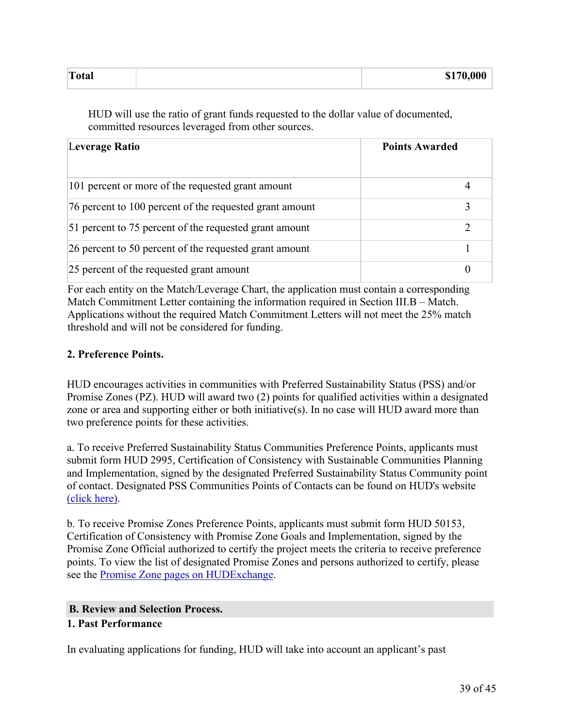| Total | \$170,000<br>. |
|-------|----------------|
|       |                |

HUD will use the ratio of grant funds requested to the dollar value of documented, committed resources leveraged from other sources.

| Leverage Ratio                                          | <b>Points Awarded</b> |
|---------------------------------------------------------|-----------------------|
| 101 percent or more of the requested grant amount       |                       |
| 76 percent to 100 percent of the requested grant amount |                       |
| 51 percent to 75 percent of the requested grant amount  |                       |
| 26 percent to 50 percent of the requested grant amount  |                       |
| 25 percent of the requested grant amount                |                       |

For each entity on the Match/Leverage Chart, the application must contain a corresponding Match Commitment Letter containing the information required in Section III.B – Match. Applications without the required Match Commitment Letters will not meet the 25% match threshold and will not be considered for funding.

## **2. Preference Points.**

HUD encourages activities in communities with Preferred Sustainability Status (PSS) and/or Promise Zones (PZ). HUD will award two (2) points for qualified activities within a designated zone or area and supporting either or both initiative(s). In no case will HUD award more than two preference points for these activities.

a. To receive Preferred Sustainability Status Communities Preference Points, applicants must submit form HUD 2995, Certification of Consistency with Sustainable Communities Planning and Implementation, signed by the designated Preferred Sustainability Status Community point of contact. Designated PSS Communities Points of Contacts can be found on HUD's website [\(click](http://portal.hud.gov/hudportal/documents/huddoc?id=PSS_POCs.pdf) here).

b. To receive Promise Zones Preference Points, applicants must submit form HUD 50153, Certification of Consistency with Promise Zone Goals and Implementation, signed by the Promise Zone Official authorized to certify the project meets the criteria to receive preference points. To view the list of designated Promise Zones and persons authorized to certify, please see the Promise Zone pages on [HUDExchange](https://www.hudexchange.info/programs/promise-zones/designee-contact-information/).

#### **B. Review and Selection Process.**

## **1. Past Performance**

In evaluating applications for funding, HUD will take into account an applicant's past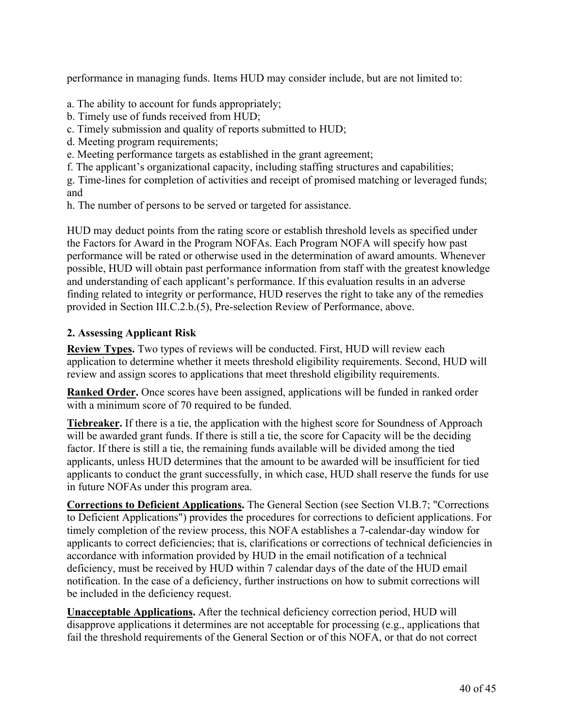performance in managing funds. Items HUD may consider include, but are not limited to:

a. The ability to account for funds appropriately;

- b. Timely use of funds received from HUD;
- c. Timely submission and quality of reports submitted to HUD;
- d. Meeting program requirements;
- e. Meeting performance targets as established in the grant agreement;
- f. The applicant's organizational capacity, including staffing structures and capabilities;

g. Time-lines for completion of activities and receipt of promised matching or leveraged funds; and

h. The number of persons to be served or targeted for assistance.

HUD may deduct points from the rating score or establish threshold levels as specified under the Factors for Award in the Program NOFAs. Each Program NOFA will specify how past performance will be rated or otherwise used in the determination of award amounts. Whenever possible, HUD will obtain past performance information from staff with the greatest knowledge and understanding of each applicant's performance. If this evaluation results in an adverse finding related to integrity or performance, HUD reserves the right to take any of the remedies provided in Section III.C.2.b.(5), Pre-selection Review of Performance, above.

## **2. Assessing Applicant Risk**

**Review Types.** Two types of reviews will be conducted. First, HUD will review each application to determine whether it meets threshold eligibility requirements. Second, HUD will review and assign scores to applications that meet threshold eligibility requirements.

**Ranked Order.** Once scores have been assigned, applications will be funded in ranked order with a minimum score of 70 required to be funded.

**Tiebreaker.** If there is a tie, the application with the highest score for Soundness of Approach will be awarded grant funds. If there is still a tie, the score for Capacity will be the deciding factor. If there is still a tie, the remaining funds available will be divided among the tied applicants, unless HUD determines that the amount to be awarded will be insufficient for tied applicants to conduct the grant successfully, in which case, HUD shall reserve the funds for use in future NOFAs under this program area.

**Corrections to Deficient Applications.** The General Section (see Section VI.B.7; "Corrections to Deficient Applications") provides the procedures for corrections to deficient applications. For timely completion of the review process, this NOFA establishes a 7-calendar-day window for applicants to correct deficiencies; that is, clarifications or corrections of technical deficiencies in accordance with information provided by HUD in the email notification of a technical deficiency, must be received by HUD within 7 calendar days of the date of the HUD email notification. In the case of a deficiency, further instructions on how to submit corrections will be included in the deficiency request.

**Unacceptable Applications.** After the technical deficiency correction period, HUD will disapprove applications it determines are not acceptable for processing (e.g., applications that fail the threshold requirements of the General Section or of this NOFA, or that do not correct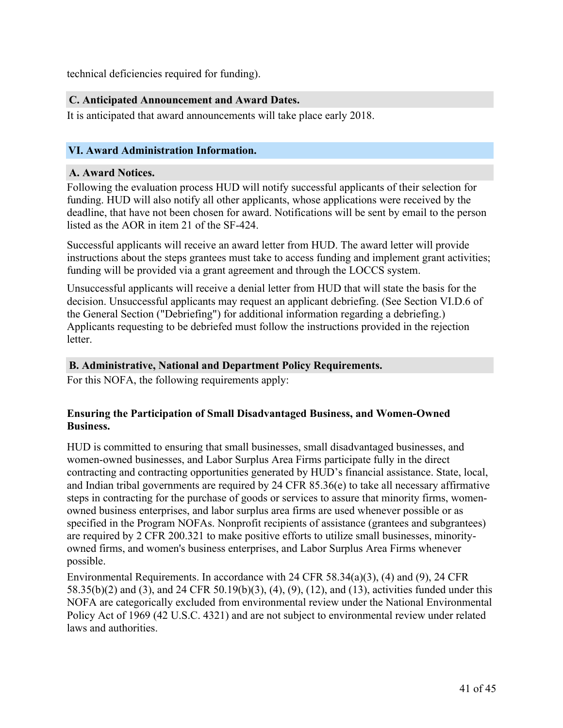technical deficiencies required for funding).

## **C. Anticipated Announcement and Award Dates.**

It is anticipated that award announcements will take place early 2018.

## <span id="page-42-0"></span>**VI. Award Administration Information.**

#### **A. Award Notices.**

Following the evaluation process HUD will notify successful applicants of their selection for funding. HUD will also notify all other applicants, whose applications were received by the deadline, that have not been chosen for award. Notifications will be sent by email to the person listed as the AOR in item 21 of the SF-424.

Successful applicants will receive an award letter from HUD. The award letter will provide instructions about the steps grantees must take to access funding and implement grant activities; funding will be provided via a grant agreement and through the LOCCS system.

Unsuccessful applicants will receive a denial letter from HUD that will state the basis for the decision. Unsuccessful applicants may request an applicant debriefing. (See Section VI.D.6 of the General Section ("Debriefing") for additional information regarding a debriefing.) Applicants requesting to be debriefed must follow the instructions provided in the rejection letter.

#### **B. Administrative, National and Department Policy Requirements.**

For this NOFA, the following requirements apply:

## **Ensuring the Participation of Small Disadvantaged Business, and Women-Owned Business.**

HUD is committed to ensuring that small businesses, small disadvantaged businesses, and women-owned businesses, and Labor Surplus Area Firms participate fully in the direct contracting and contracting opportunities generated by HUD's financial assistance. State, local, and Indian tribal governments are required by 24 CFR 85.36(e) to take all necessary affirmative steps in contracting for the purchase of goods or services to assure that minority firms, womenowned business enterprises, and labor surplus area firms are used whenever possible or as specified in the Program NOFAs. Nonprofit recipients of assistance (grantees and subgrantees) are required by 2 CFR 200.321 to make positive efforts to utilize small businesses, minorityowned firms, and women's business enterprises, and Labor Surplus Area Firms whenever possible.

Environmental Requirements. In accordance with 24 CFR 58.34(a)(3), (4) and (9), 24 CFR 58.35(b)(2) and (3), and 24 CFR 50.19(b)(3), (4), (9), (12), and (13), activities funded under this NOFA are categorically excluded from environmental review under the National Environmental Policy Act of 1969 (42 U.S.C. 4321) and are not subject to environmental review under related laws and authorities.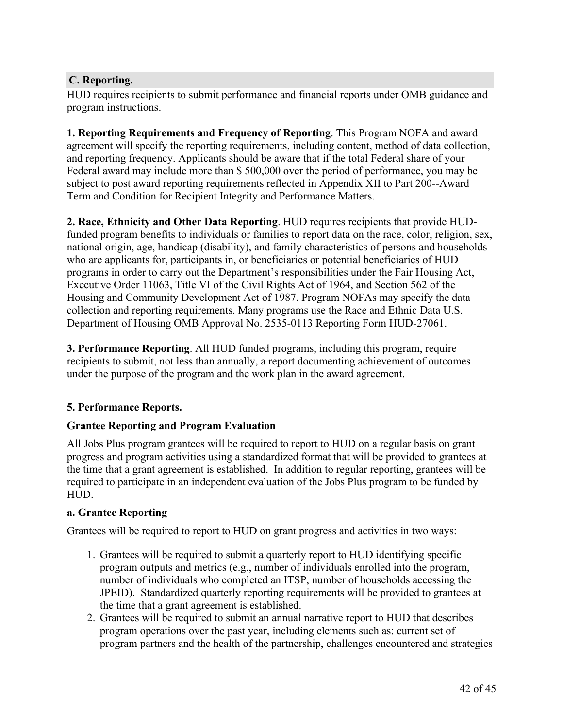## **C. Reporting.**

HUD requires recipients to submit performance and financial reports under OMB guidance and program instructions.

**1. Reporting Requirements and Frequency of Reporting**. This Program NOFA and award agreement will specify the reporting requirements, including content, method of data collection, and reporting frequency. Applicants should be aware that if the total Federal share of your Federal award may include more than \$ 500,000 over the period of performance, you may be subject to post award reporting requirements reflected in Appendix XII to Part 200--Award Term and Condition for Recipient Integrity and Performance Matters.

**2. Race, Ethnicity and Other Data Reporting**. HUD requires recipients that provide HUDfunded program benefits to individuals or families to report data on the race, color, religion, sex, national origin, age, handicap (disability), and family characteristics of persons and households who are applicants for, participants in, or beneficiaries or potential beneficiaries of HUD programs in order to carry out the Department's responsibilities under the Fair Housing Act, Executive Order 11063, Title VI of the Civil Rights Act of 1964, and Section 562 of the Housing and Community Development Act of 1987. Program NOFAs may specify the data collection and reporting requirements. Many programs use the Race and Ethnic Data U.S. Department of Housing OMB Approval No. 2535-0113 Reporting Form HUD-27061.

**3. Performance Reporting**. All HUD funded programs, including this program, require recipients to submit, not less than annually, a report documenting achievement of outcomes under the purpose of the program and the work plan in the award agreement.

## **5. Performance Reports.**

#### **Grantee Reporting and Program Evaluation**

All Jobs Plus program grantees will be required to report to HUD on a regular basis on grant progress and program activities using a standardized format that will be provided to grantees at the time that a grant agreement is established. In addition to regular reporting, grantees will be required to participate in an independent evaluation of the Jobs Plus program to be funded by HUD.

## **a. Grantee Reporting**

Grantees will be required to report to HUD on grant progress and activities in two ways:

- 1. Grantees will be required to submit a quarterly report to HUD identifying specific program outputs and metrics (e.g., number of individuals enrolled into the program, number of individuals who completed an ITSP, number of households accessing the JPEID). Standardized quarterly reporting requirements will be provided to grantees at the time that a grant agreement is established.
- 2. Grantees will be required to submit an annual narrative report to HUD that describes program operations over the past year, including elements such as: current set of program partners and the health of the partnership, challenges encountered and strategies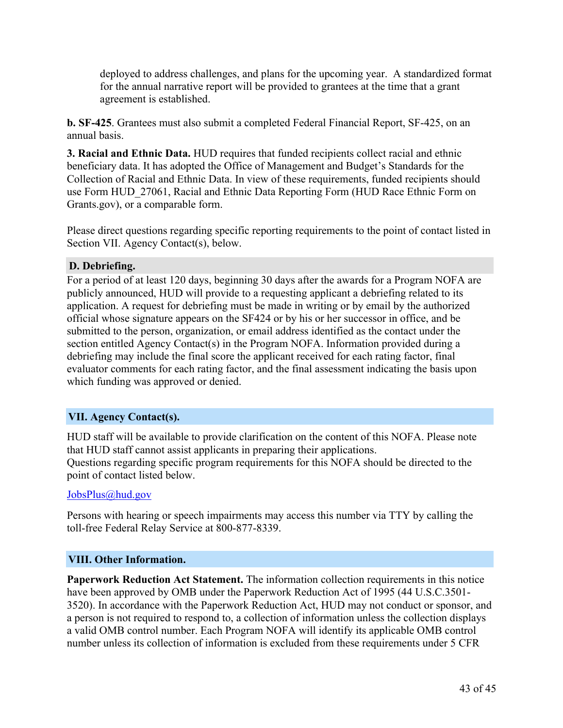deployed to address challenges, and plans for the upcoming year. A standardized format for the annual narrative report will be provided to grantees at the time that a grant agreement is established.

**b. SF-425**. Grantees must also submit a completed Federal Financial Report, SF-425, on an annual basis.

**3. Racial and Ethnic Data.** HUD requires that funded recipients collect racial and ethnic beneficiary data. It has adopted the Office of Management and Budget's Standards for the Collection of Racial and Ethnic Data. In view of these requirements, funded recipients should use Form HUD\_27061, Racial and Ethnic Data Reporting Form (HUD Race Ethnic Form on Grants.gov), or a comparable form.

Please direct questions regarding specific reporting requirements to the point of contact listed in Section VII. Agency Contact(s), below.

## **D. Debriefing.**

For a period of at least 120 days, beginning 30 days after the awards for a Program NOFA are publicly announced, HUD will provide to a requesting applicant a debriefing related to its application. A request for debriefing must be made in writing or by email by the authorized official whose signature appears on the SF424 or by his or her successor in office, and be submitted to the person, organization, or email address identified as the contact under the section entitled Agency Contact(s) in the Program NOFA. Information provided during a debriefing may include the final score the applicant received for each rating factor, final evaluator comments for each rating factor, and the final assessment indicating the basis upon which funding was approved or denied.

## <span id="page-44-0"></span>**VII. Agency Contact(s).**

HUD staff will be available to provide clarification on the content of this NOFA. Please note that HUD staff cannot assist applicants in preparing their applications. Questions regarding specific program requirements for this NOFA should be directed to the point of contact listed below.

## [JobsPlus@hud.gov](mailto:JobsPlus@hud.gov)

Persons with hearing or speech impairments may access this number via TTY by calling the toll-free Federal Relay Service at 800-877-8339.

## <span id="page-44-1"></span>**VIII. Other Information.**

**Paperwork Reduction Act Statement.** The information collection requirements in this notice have been approved by OMB under the Paperwork Reduction Act of 1995 (44 U.S.C.3501- 3520). In accordance with the Paperwork Reduction Act, HUD may not conduct or sponsor, and a person is not required to respond to, a collection of information unless the collection displays a valid OMB control number. Each Program NOFA will identify its applicable OMB control number unless its collection of information is excluded from these requirements under 5 CFR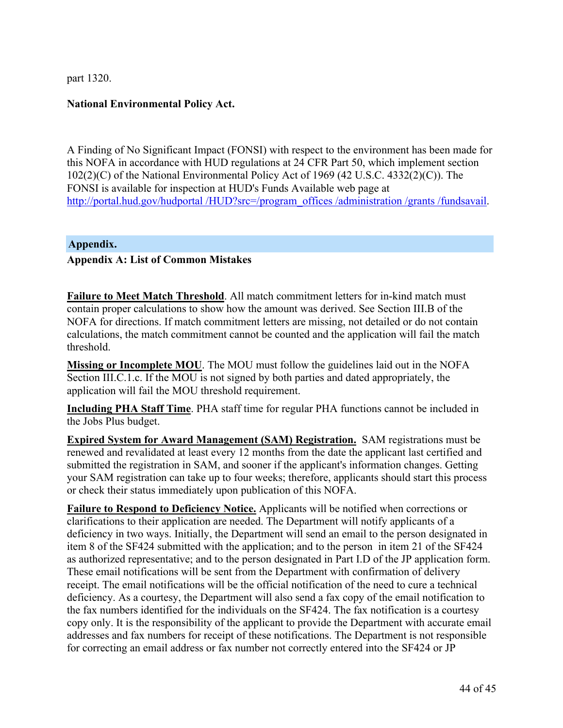part 1320.

## **National Environmental Policy Act.**

A Finding of No Significant Impact (FONSI) with respect to the environment has been made for this NOFA in accordance with HUD regulations at 24 CFR Part 50, which implement section 102(2)(C) of the National Environmental Policy Act of 1969 (42 U.S.C. 4332(2)(C)). The FONSI is available for inspection at HUD's Funds Available web page at [http://portal.hud.gov/hudportal](http://portal.hud.gov/hudportal/HUD?src=/program_offices/administration/grants/fundsavail) /HUD?src=/program\_offices /administration /grants /fundsavail.

#### <span id="page-45-0"></span>**Appendix.**

## **Appendix A: List of Common Mistakes**

**Failure to Meet Match Threshold**. All match commitment letters for in-kind match must contain proper calculations to show how the amount was derived. See Section III.B of the NOFA for directions. If match commitment letters are missing, not detailed or do not contain calculations, the match commitment cannot be counted and the application will fail the match threshold.

**Missing or Incomplete MOU**. The MOU must follow the guidelines laid out in the NOFA Section III.C.1.c. If the MOU is not signed by both parties and dated appropriately, the application will fail the MOU threshold requirement.

**Including PHA Staff Time**. PHA staff time for regular PHA functions cannot be included in the Jobs Plus budget.

**Expired System for Award Management (SAM) Registration.** SAM registrations must be renewed and revalidated at least every 12 months from the date the applicant last certified and submitted the registration in SAM, and sooner if the applicant's information changes. Getting your SAM registration can take up to four weeks; therefore, applicants should start this process or check their status immediately upon publication of this NOFA.

**Failure to Respond to Deficiency Notice.** Applicants will be notified when corrections or clarifications to their application are needed. The Department will notify applicants of a deficiency in two ways. Initially, the Department will send an email to the person designated in item 8 of the SF424 submitted with the application; and to the person in item 21 of the SF424 as authorized representative; and to the person designated in Part I.D of the JP application form. These email notifications will be sent from the Department with confirmation of delivery receipt. The email notifications will be the official notification of the need to cure a technical deficiency. As a courtesy, the Department will also send a fax copy of the email notification to the fax numbers identified for the individuals on the SF424. The fax notification is a courtesy copy only. It is the responsibility of the applicant to provide the Department with accurate email addresses and fax numbers for receipt of these notifications. The Department is not responsible for correcting an email address or fax number not correctly entered into the SF424 or JP